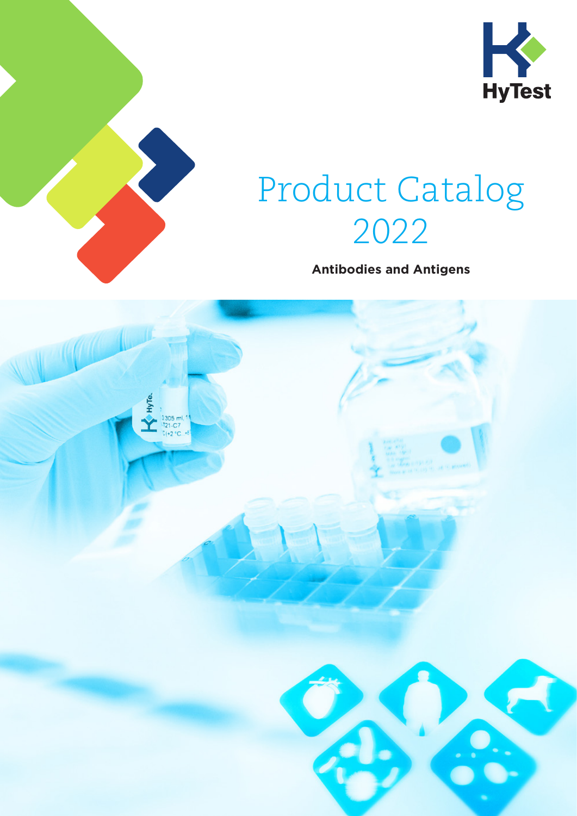



# Product Catalog 2022

**Antibodies and Antigens**

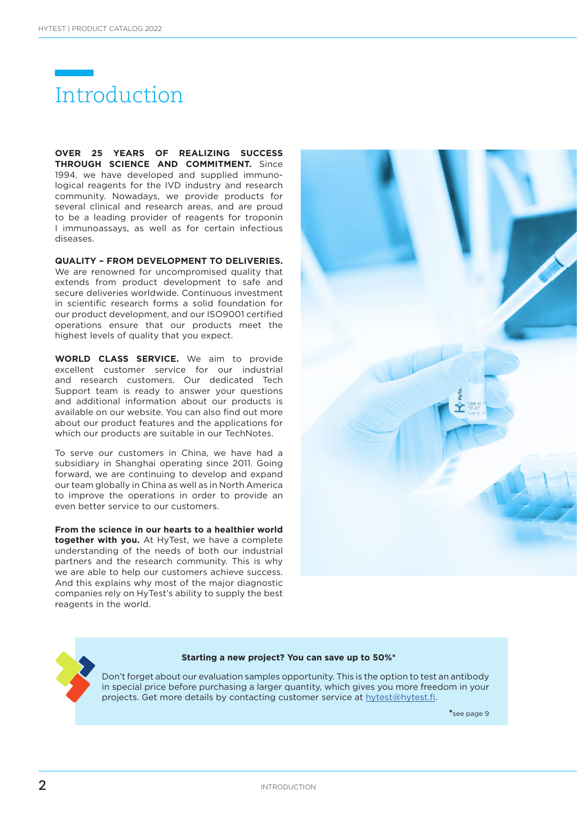

**OVER 25 YEARS OF REALIZING SUCCESS THROUGH SCIENCE AND COMMITMENT.** Since 1994, we have developed and supplied immunological reagents for the IVD industry and research community. Nowadays, we provide products for several clinical and research areas, and are proud to be a leading provider of reagents for troponin I immunoassays, as well as for certain infectious diseases.

**QUALITY – FROM DEVELOPMENT TO DELIVERIES.**

We are renowned for uncompromised quality that extends from product development to safe and secure deliveries worldwide. Continuous investment in scientific research forms a solid foundation for our product development, and our ISO9001 certified operations ensure that our products meet the highest levels of quality that you expect.

**WORLD CLASS SERVICE.** We aim to provide excellent customer service for our industrial and research customers. Our dedicated Tech Support team is ready to answer your questions and additional information about our products is available on our website. You can also find out more about our product features and the applications for which our products are suitable in our TechNotes.

To serve our customers in China, we have had a subsidiary in Shanghai operating since 2011. Going forward, we are continuing to develop and expand our team globally in China as well as in North America to improve the operations in order to provide an even better service to our customers.

**From the science in our hearts to a healthier world together with you.** At HyTest, we have a complete understanding of the needs of both our industrial partners and the research community. This is why we are able to help our customers achieve success. And this explains why most of the major diagnostic companies rely on HyTest's ability to supply the best reagents in the world.



#### **Starting a new project? You can save up to 50%\***

Don't forget about our evaluation samples opportunity. This is the option to test an antibody in special price before purchasing a larger quantity, which gives you more freedom in your projects. Get more details by contacting customer service at hytest@hytest.fi.

 **\***see page 9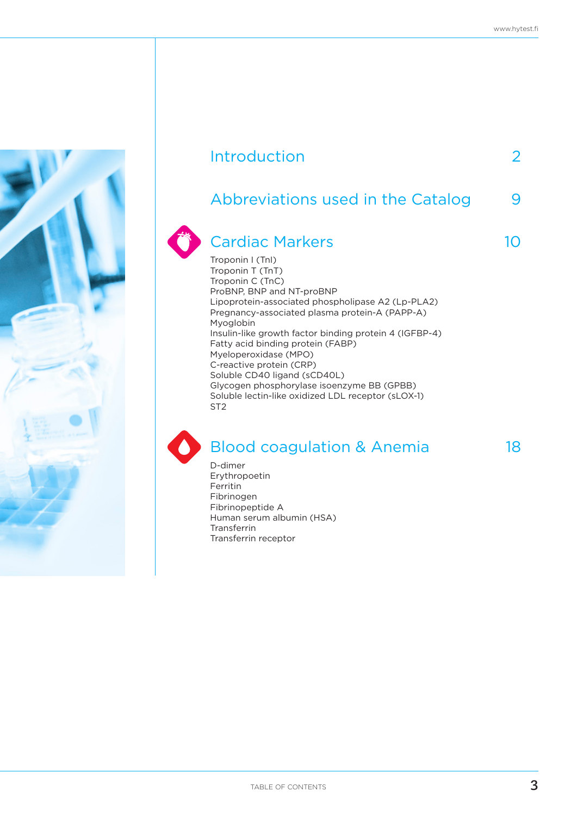| Introduction                                                                                                                                                                                                                                                                                                                                                                                                                                                                                                                                   |   |
|------------------------------------------------------------------------------------------------------------------------------------------------------------------------------------------------------------------------------------------------------------------------------------------------------------------------------------------------------------------------------------------------------------------------------------------------------------------------------------------------------------------------------------------------|---|
| Abbreviations used in the Catalog                                                                                                                                                                                                                                                                                                                                                                                                                                                                                                              | 9 |
| <b>Cardiac Markers</b><br>Troponin I (TnI)<br>Troponin T (TnT)<br>Troponin C (TnC)<br>ProBNP, BNP and NT-proBNP<br>Lipoprotein-associated phospholipase A2 (Lp-PLA2)<br>Pregnancy-associated plasma protein-A (PAPP-A)<br>Myoglobin<br>Insulin-like growth factor binding protein 4 (IGFBP-4)<br>Fatty acid binding protein (FABP)<br>Myeloperoxidase (MPO)<br>C-reactive protein (CRP)<br>Soluble CD40 ligand (sCD40L)<br>Glycogen phosphorylase isoenzyme BB (GPBB)<br>Soluble lectin-like oxidized LDL receptor (sLOX-1)<br>ST <sub>2</sub> |   |

### Blood coagulation & Anemia 18

D-dimer Erythropoetin Ferritin Fibrinogen Fibrinopeptide A Human serum albumin (HSA) Transferrin Transferrin receptor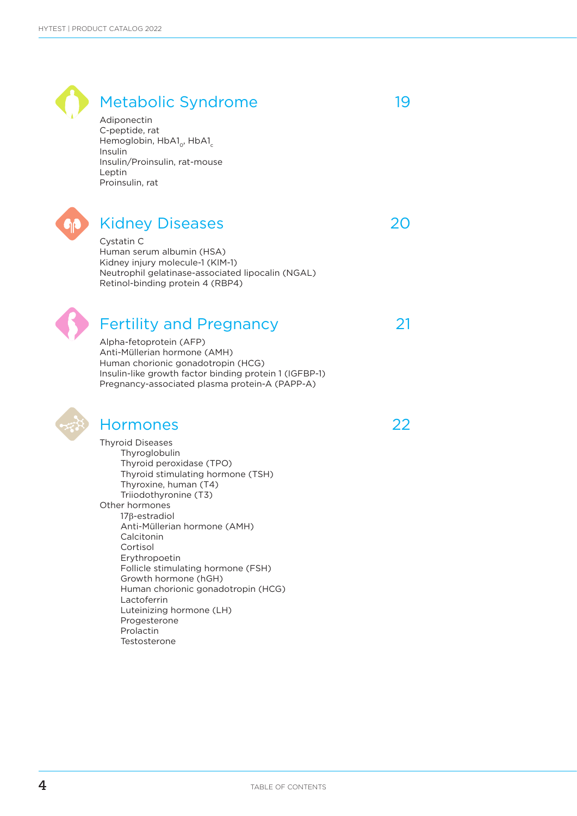### Metabolic Syndrome and 19 Adiponectin C-peptide, rat Hemoglobin, HbA1<sub>o</sub>, HbA1<sub>c</sub> Insulin Insulin/Proinsulin, rat-mouse Leptin Proinsulin, rat Kidney Diseases 20 Cystatin C Human serum albumin (HSA) Kidney injury molecule-1 (KIM-1) Neutrophil gelatinase-associated lipocalin (NGAL) Retinol-binding protein 4 (RBP4) Fertility and Pregnancy 21 Alpha-fetoprotein (AFP) Anti-Müllerian hormone (AMH) Human chorionic gonadotropin (HCG) Insulin-like growth factor binding protein 1 (IGFBP-1) Pregnancy-associated plasma protein-A (PAPP-A) Hormones 22 Thyroid Diseases Thyroglobulin Thyroid peroxidase (TPO) Thyroid stimulating hormone (TSH) Thyroxine, human (T4) Triiodothyronine (T3) Other hormones 17b-estradiol Anti-Müllerian hormone (AMH) Calcitonin Cortisol Erythropoetin Follicle stimulating hormone (FSH) Growth hormone (hGH) Human chorionic gonadotropin (HCG) Lactoferrin Luteinizing hormone (LH) Progesterone

 Prolactin **Testosterone**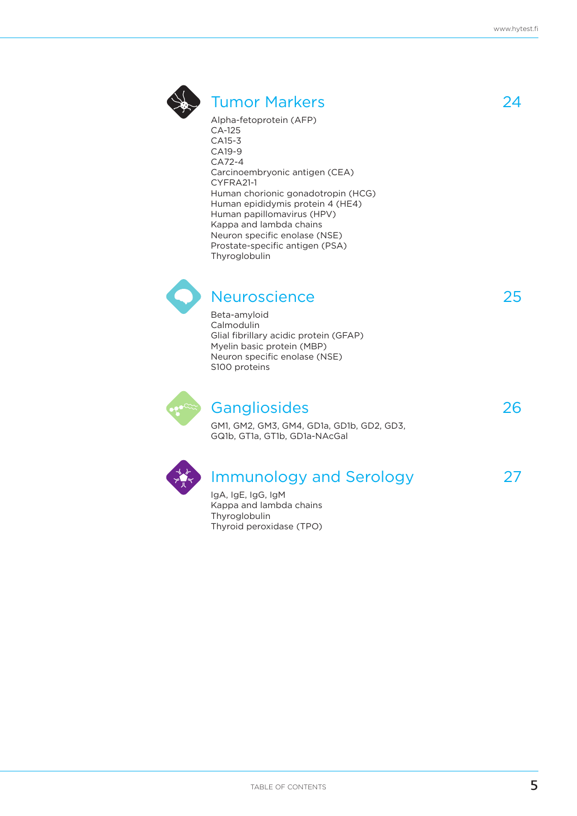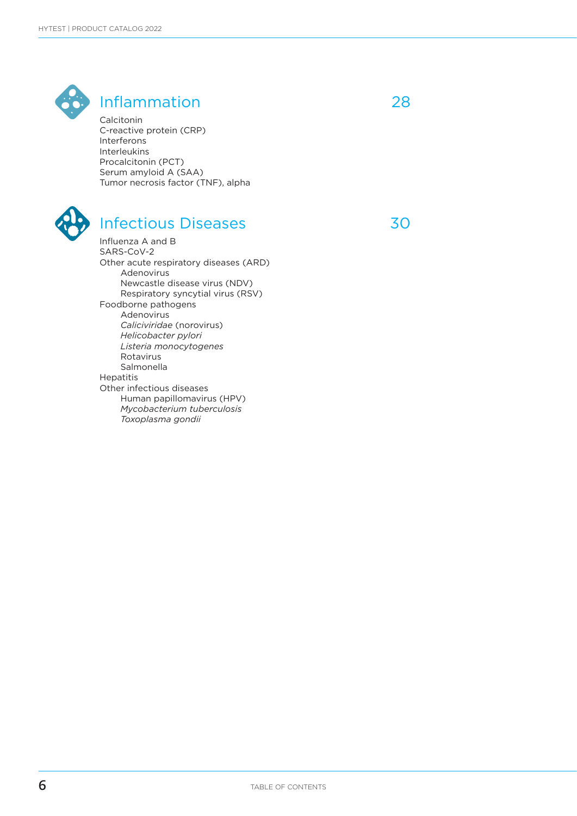

### Inflammation 28

Calcitonin C-reactive protein (CRP) Interferons Interleukins Procalcitonin (PCT) Serum amyloid A (SAA) Tumor necrosis factor (TNF), alpha



### Infectious Diseases 30

Influenza A and B SARS-CoV-2 Other acute respiratory diseases (ARD) Adenovirus Newcastle disease virus (NDV) Respiratory syncytial virus (RSV) Foodborne pathogens Adenovirus *Caliciviridae* (norovirus) *Helicobacter pylori Listeria monocytogenes* Rotavirus Salmonella Hepatitis Other infectious diseases Human papillomavirus (HPV) *Mycobacterium tuberculosis Toxoplasma gondii*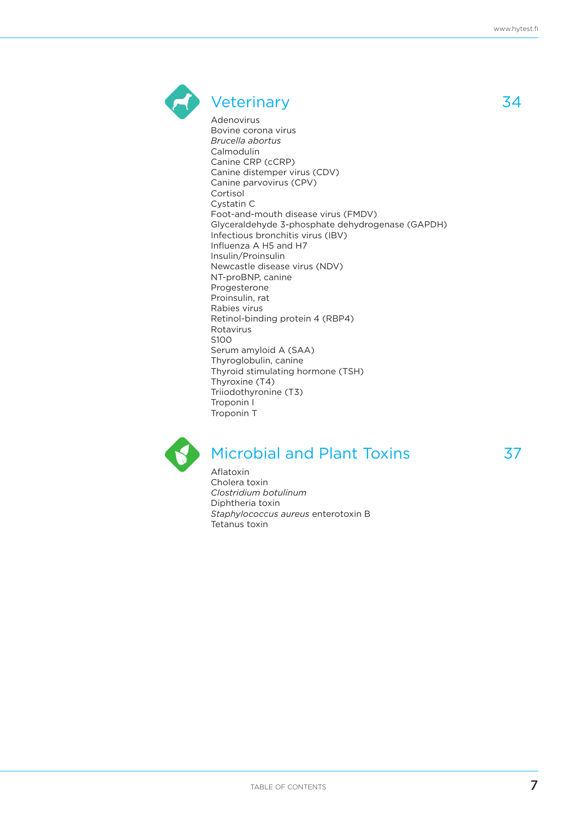

### Veterinary 34

Adenovirus Bovine corona virus *Brucella abortus* Calmodulin Canine CRP (cCRP) Canine distemper virus (CDV) Canine parvovirus (CPV) Cortisol Cystatin C Foot-and-mouth disease virus (FMDV) Glyceraldehyde 3-phosphate dehydrogenase (GAPDH) Infectious bronchitis virus (IBV) Influenza A H5 and H7 Insulin/Proinsulin Newcastle disease virus (NDV) NT-proBNP, canine Progesterone Proinsulin, rat Rabies virus Retinol-binding protein 4 (RBP4) Rotavirus S100 Serum amyloid A (SAA) Thyroglobulin, canine Thyroid stimulating hormone (TSH) Thyroxine (T4) Triiodothyronine (T3) Troponin I Troponin T



### Microbial and Plant Toxins 37

Aflatoxin Cholera toxin *Clostridium botulinum* Diphtheria toxin *Staphylococcus aureus* enterotoxin B Tetanus toxin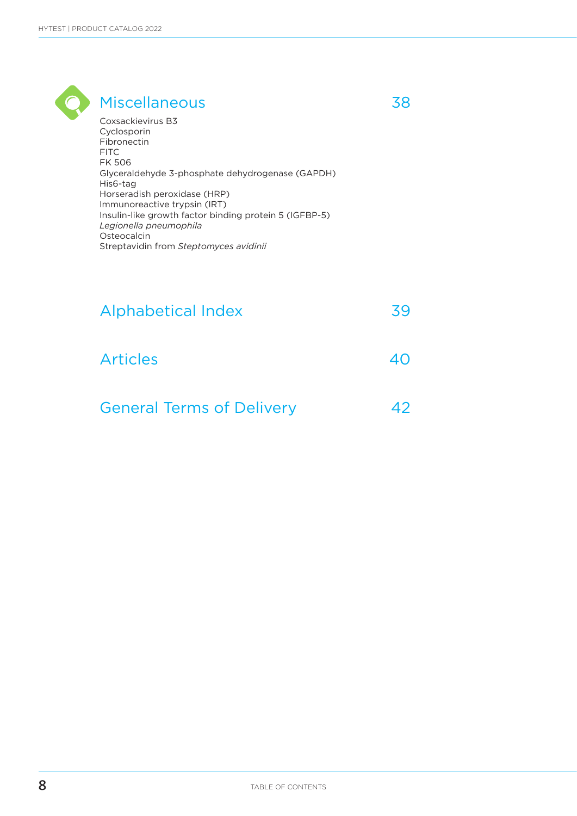| <b>Miscellaneous</b>                                                                                                                                                                                                                                                |  |
|---------------------------------------------------------------------------------------------------------------------------------------------------------------------------------------------------------------------------------------------------------------------|--|
| Coxsackievirus B3<br>Cyclosporin<br>Fibronectin<br>FITC.<br><b>FK 506</b><br>Glyceraldehyde 3-phosphate dehydrogenase (GAPDH)<br>His6-tag<br>Horseradish peroxidase (HRP)<br>Immunoreactive trypsin (IRT)<br>Insulin-like growth factor binding protein 5 (IGFBP-5) |  |
| Legionella pneumophila<br>Osteocalcin<br>Streptavidin from Steptomyces avidinii                                                                                                                                                                                     |  |

| <b>Alphabetical Index</b>        | 39 |
|----------------------------------|----|
| <b>Articles</b>                  | 40 |
| <b>General Terms of Delivery</b> |    |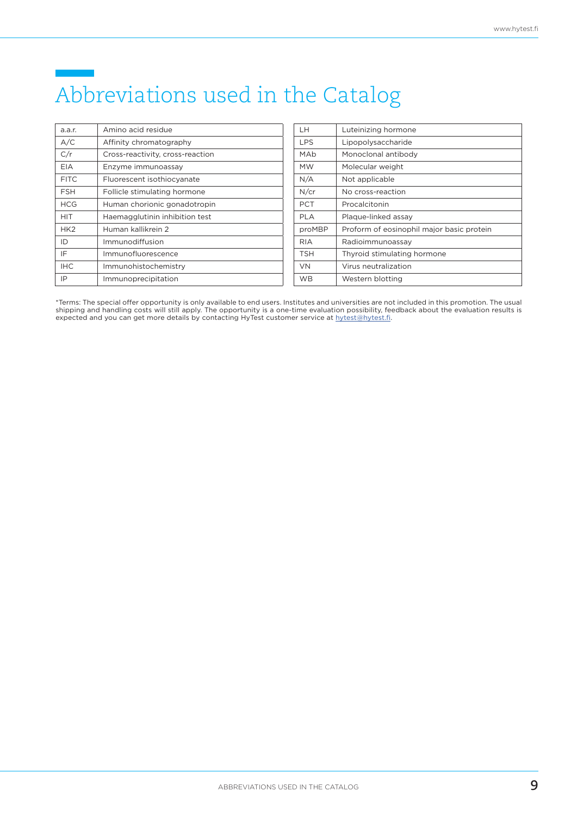## Abbreviations used in the Catalog

| a.a.r.          | Amino acid residue               |
|-----------------|----------------------------------|
| A/C             | Affinity chromatography          |
| C/r             | Cross-reactivity, cross-reaction |
| <b>EIA</b>      | Enzyme immunoassay               |
| <b>FITC</b>     | Fluorescent isothiocyanate       |
| <b>FSH</b>      | Follicle stimulating hormone     |
| <b>HCG</b>      | Human chorionic gonadotropin     |
| HIT             | Haemagglutinin inhibition test   |
| HK <sub>2</sub> | Human kallikrein 2               |
| ID              | Immunodiffusion                  |
| IF              | Immunofluorescence               |
| <b>IHC</b>      | Immunohistochemistry             |
| IP              | Immunoprecipitation              |

| LН         | Luteinizing hormone                       |
|------------|-------------------------------------------|
| <b>LPS</b> | Lipopolysaccharide                        |
| MAb        | Monoclonal antibody                       |
| МW         | Molecular weight                          |
| N/A        | Not applicable                            |
| N/cr       | No cross-reaction                         |
| PCT        | Procalcitonin                             |
| PLA        | Plaque-linked assay                       |
| proMBP     | Proform of eosinophil major basic protein |
| RIA        | Radioimmunoassay                          |
| TSH        | Thyroid stimulating hormone               |
| VN         | Virus neutralization                      |
| WВ         | Western blotting                          |

\*Terms: The special offer opportunity is only available to end users. Institutes and universities are not included in this promotion. The usual shipping and handling costs will still apply. The opportunity is a one-time evaluation possibility, feedback about the evaluation results is expected and you can get more details by contacting HyTest customer service at hytest@hytest.fi.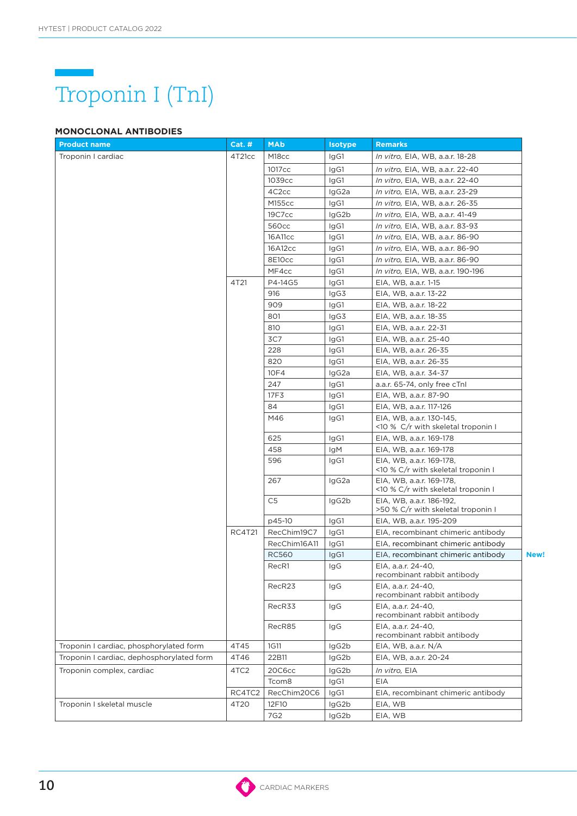

### **MONOCLONAL ANTIBODIES**

| <b>Product name</b>                       | <b>Cat. #</b> | <b>MAb</b>        | <b>Isotype</b> | <b>Remarks</b>                                                 |      |
|-------------------------------------------|---------------|-------------------|----------------|----------------------------------------------------------------|------|
| Troponin I cardiac                        | 4T21cc        | M <sub>18cc</sub> | IgG1           | In vitro, EIA, WB, a.a.r. 18-28                                |      |
|                                           |               | 1017cc            | IgG1           | In vitro, EIA, WB, a.a.r. 22-40                                |      |
|                                           |               | 1039cc            | IgG1           | <i>In vitro</i> , EIA, WB, a.a.r. 22-40                        |      |
|                                           |               | 4C2cc             | IgG2a          | In vitro, EIA, WB, a.a.r. 23-29                                |      |
|                                           |               | M155cc            | IgG1           | In vitro, EIA, WB, a.a.r. 26-35                                |      |
|                                           |               | 19C7cc            | IgG2b          | In vitro, EIA, WB, a.a.r. 41-49                                |      |
|                                           |               | 560cc             | IgG1           | In vitro, EIA, WB, a.a.r. 83-93                                |      |
|                                           |               | 16A11cc           | IgG1           | In vitro, EIA, WB, a.a.r. 86-90                                |      |
|                                           |               | 16A12cc           | IgG1           | <i>In vitro,</i> EIA, WB, a.a.r. 86-90                         |      |
|                                           |               | 8E10cc            | IgG1           | <i>In vitro,</i> EIA, WB, a.a.r. 86-90                         |      |
|                                           |               | MF4cc             | IgG1           | In vitro, EIA, WB, a.a.r. 190-196                              |      |
|                                           | 4T21          | P4-14G5           | IgG1           | EIA, WB, a.a.r. 1-15                                           |      |
|                                           |               | 916               | IgG3           | EIA, WB, a.a.r. 13-22                                          |      |
|                                           |               | 909               | IgG1           | EIA, WB, a.a.r. 18-22                                          |      |
|                                           |               | 801               | IgG3           | EIA, WB, a.a.r. 18-35                                          |      |
|                                           |               | 810               | IgG1           | EIA, WB, a.a.r. 22-31                                          |      |
|                                           |               | 3C7               | IgG1           | EIA, WB, a.a.r. 25-40                                          |      |
|                                           |               | 228               | IgG1           | EIA, WB, a.a.r. 26-35                                          |      |
|                                           |               | 820               | IgG1           | EIA, WB, a.a.r. 26-35                                          |      |
|                                           |               | 10F4              | IgG2a          | EIA, WB, a.a.r. 34-37                                          |      |
|                                           |               | 247               | IgG1           | a.a.r. 65-74, only free cTnl                                   |      |
|                                           |               | 17F3              | IgG1           | EIA, WB, a.a.r. 87-90                                          |      |
|                                           |               | 84                | IgG1           | EIA, WB, a.a.r. 117-126                                        |      |
|                                           |               | M46               | IgG1           | EIA, WB, a.a.r. 130-145,<br><10 % C/r with skeletal troponin I |      |
|                                           |               | 625               | IgG1           | EIA, WB, a.a.r. 169-178                                        |      |
|                                           |               | 458               | <b>IgM</b>     | EIA, WB, a.a.r. 169-178                                        |      |
|                                           |               | 596               | IgG1           | EIA, WB, a.a.r. 169-178,<br><10 % C/r with skeletal troponin I |      |
|                                           |               | 267               | IgG2a          | EIA, WB, a.a.r. 169-178,<br><10 % C/r with skeletal troponin I |      |
|                                           |               | C <sub>5</sub>    | IgG2b          | EIA, WB, a.a.r. 186-192,<br>>50 % C/r with skeletal troponin I |      |
|                                           |               | p45-10            | IgG1           | EIA, WB, a.a.r. 195-209                                        |      |
|                                           | RC4T21        | RecChim19C7       | IgG1           | EIA, recombinant chimeric antibody                             |      |
|                                           |               | RecChim16A11      | IgG1           | EIA, recombinant chimeric antibody                             |      |
|                                           |               | <b>RC560</b>      | IgG1           | EIA, recombinant chimeric antibody                             | New! |
|                                           |               | RecR1             | IgG            | EIA, a.a.r. 24-40,<br>recombinant rabbit antibody              |      |
|                                           |               | RecR23            | IgG            | EIA. a.a.r. 24-40.<br>recombinant rabbit antibody              |      |
|                                           |               | RecR33            | IgG            | EIA, a.a.r. 24-40,<br>recombinant rabbit antibody              |      |
|                                           |               | RecR85            | IgG            | EIA, a.a.r. 24-40,<br>recombinant rabbit antibody              |      |
| Troponin I cardiac, phosphorylated form   | 4T45          | 1G11              | IgG2b          | EIA, WB, a.a.r. N/A                                            |      |
| Troponin I cardiac, dephosphorylated form | 4T46          | 22B11             | IgG2b          | EIA, WB, a.a.r. 20-24                                          |      |
| Troponin complex, cardiac                 | 4TC2          | 20C6cc            | IgG2b          | In vitro, EIA                                                  |      |
|                                           |               | Tcom <sub>8</sub> | IgG1           | <b>EIA</b>                                                     |      |
|                                           | RC4TC2        | RecChim20C6       | IgG1           | EIA, recombinant chimeric antibody                             |      |
| Troponin I skeletal muscle                | 4T20          | 12F10             | IgG2b          | EIA, WB                                                        |      |
|                                           |               | 7G2               | IgG2b          | EIA, WB                                                        |      |

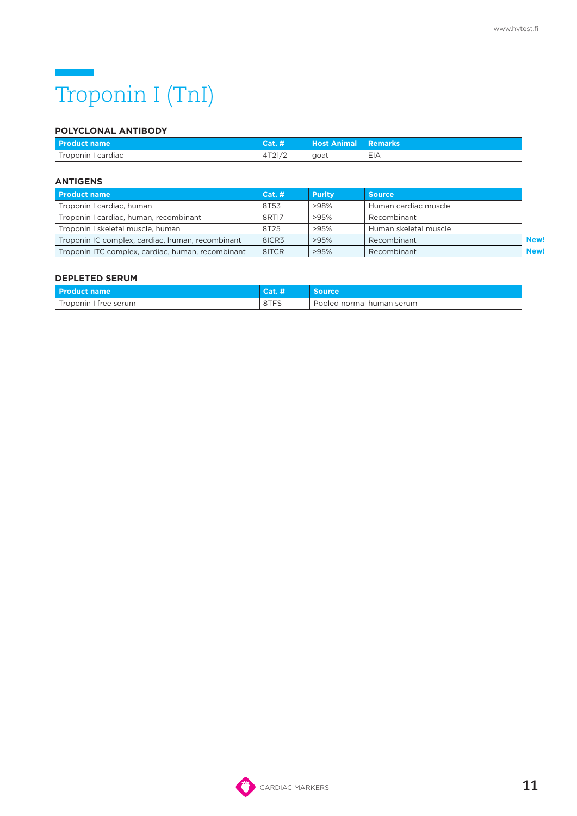### $\mathcal{L}(\mathcal{L})$  and  $\mathcal{L}(\mathcal{L})$ Troponin I (TnI)

### **POLYCLONAL ANTIBODY**

| l Product name \    | Cat. #               | <b>Host Animal</b> | : Remarks' |
|---------------------|----------------------|--------------------|------------|
| cardiac<br>Troponin | 11721/2<br>1 ∠ 1 / ∠ | goat               | $-$<br>EІA |

### **ANTIGENS**

| <b>Product name</b>                               | Cat. # | <b>Purity</b> | <b>Source</b>         |             |
|---------------------------------------------------|--------|---------------|-----------------------|-------------|
| Troponin I cardiac, human                         | 8T53   | >98%          | Human cardiac muscle  |             |
| Troponin I cardiac, human, recombinant            | 8RTI7  | >95%          | Recombinant           |             |
| Troponin I skeletal muscle, human                 | 8T25   | >95%          | Human skeletal muscle |             |
| Troponin IC complex, cardiac, human, recombinant  | 8ICR3  | >95%          | Recombinant           | <b>New!</b> |
| Troponin ITC complex, cardiac, human, recombinant | 8ITCR  | >95%          | Recombinant           | <b>New!</b> |

| <b>Product name</b>   | <b>CALL AN</b> | Source                    |
|-----------------------|----------------|---------------------------|
| Troponin I free serum | 8TFS           | Pooled normal human serum |

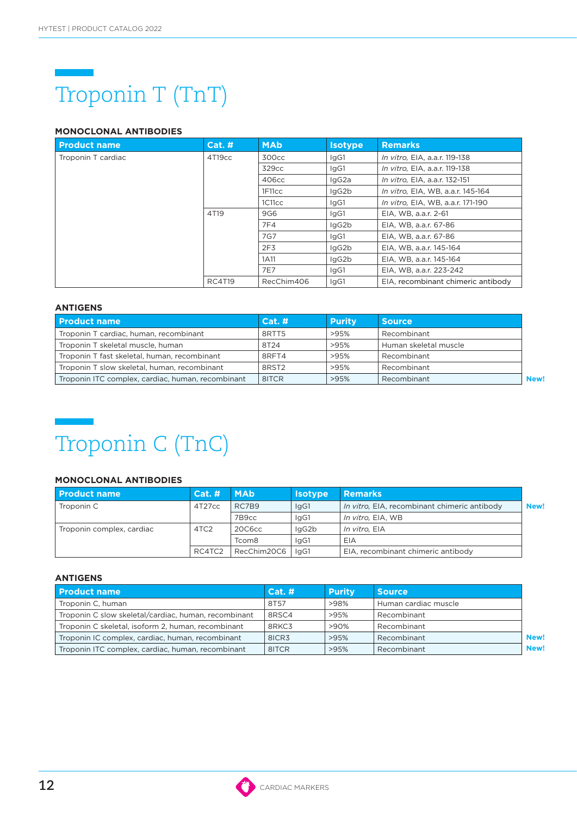# Troponin T (TnT)

### **MONOCLONAL ANTIBODIES**

| <b>Product name</b> | <b>Cat. #</b> | <b>MAb</b>      | <b>Isotype</b> | <b>Remarks</b>                     |
|---------------------|---------------|-----------------|----------------|------------------------------------|
| Troponin T cardiac  | 4T19cc        | 300cc           | lgG1           | In vitro, EIA, a.a.r. 119-138      |
|                     |               | 329cc           | lgG1           | In vitro, EIA, a.a.r. 119-138      |
|                     |               | 406cc           | IgG2a          | In vitro, EIA, a.a.r. 132-151      |
|                     |               | 1F11cc          | IgG2b          | In vitro, EIA, WB, a.a.r. 145-164  |
|                     |               | 1C11cc          | IgG1           | In vitro, EIA, WB, a.a.r. 171-190  |
|                     | 4T19          | 9G6             | lgG1           | EIA, WB, a.a.r. 2-61               |
|                     |               | 7F4             | IgG2b          | EIA, WB, a.a.r. 67-86              |
|                     |               | 7G7             | lgG1           | EIA, WB, a.a.r. 67-86              |
|                     |               | 2F <sub>3</sub> | IgG2b          | EIA, WB, a.a.r. 145-164            |
|                     |               | 1A11            | IgG2b          | EIA, WB, a.a.r. 145-164            |
|                     |               | 7E7             | IgG1           | EIA, WB, a.a.r. 223-242            |
|                     | <b>RC4T19</b> | RecChim406      | lgG1           | EIA, recombinant chimeric antibody |

### **ANTIGENS**

| l Product name                                    | Cat.#             | <b>Purity</b> | <b>Source</b>         |      |
|---------------------------------------------------|-------------------|---------------|-----------------------|------|
| Troponin T cardiac, human, recombinant            | 8RTT5             | >95%          | Recombinant           |      |
| Troponin T skeletal muscle, human                 | 8T24              | >95%          | Human skeletal muscle |      |
| Troponin T fast skeletal, human, recombinant      | 8RFT4             | >95%          | Recombinant           |      |
| Troponin T slow skeletal, human, recombinant      | 8RST <sub>2</sub> | >95%          | Recombinant           |      |
| Troponin ITC complex, cardiac, human, recombinant | 8ITCR             | >95%          | Recombinant           | New! |

### Troponin C (TnC)

### **MONOCLONAL ANTIBODIES**

| <b>Product name</b>       | <b>Cat. #</b>    | <b>MAb</b>        | <b>Isotype</b> | <b>Remarks</b>                               |      |
|---------------------------|------------------|-------------------|----------------|----------------------------------------------|------|
| Troponin C                | 4T27cc           | RC7B9             | IgG1           | In vitro, EIA, recombinant chimeric antibody | New! |
|                           |                  | 7B9cc             | laG1           | In vitro, EIA, WB                            |      |
| Troponin complex, cardiac | 4TC <sub>2</sub> | 20C6cc            | lgG2b          | In vitro. EIA                                |      |
|                           |                  | Tcom <sub>8</sub> | laG1           | EIA                                          |      |
|                           | RC4TC2           | RecChim20C6       | laG1           | EIA, recombinant chimeric antibody           |      |

| <b>Product name</b>                                  | Cat. # | <b>Purity</b> | <b>Source</b>        |      |
|------------------------------------------------------|--------|---------------|----------------------|------|
| Troponin C, human                                    | 8T57   | >98%          | Human cardiac muscle |      |
| Troponin C slow skeletal/cardiac, human, recombinant | 8RSC4  | >95%          | Recombinant          |      |
| Troponin C skeletal, isoform 2, human, recombinant   | 8RKC3  | >90%          | Recombinant          |      |
| Troponin IC complex, cardiac, human, recombinant     | 8ICR3  | >95%          | Recombinant          | New! |
| Troponin ITC complex, cardiac, human, recombinant    | 8ITCR  | >95%          | Recombinant          | New! |

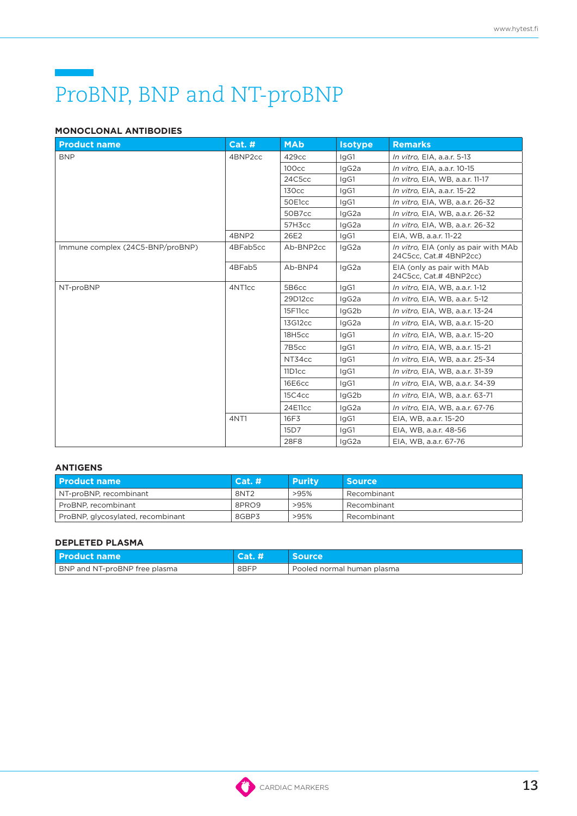## ProBNP, BNP and NT-proBNP

### **MONOCLONAL ANTIBODIES**

| <b>Product name</b>              | <b>Cat. #</b>      | <b>MAb</b>        | <b>Isotype</b>                                       | <b>Remarks</b>                                                 |
|----------------------------------|--------------------|-------------------|------------------------------------------------------|----------------------------------------------------------------|
| <b>BNP</b>                       | 4BNP2cc            | 429cc             | lgG1                                                 | In vitro, EIA, a.a.r. 5-13                                     |
|                                  |                    | 100 <sub>cc</sub> | lgG2a                                                | In vitro, EIA, a.a.r. 10-15                                    |
|                                  |                    | 24C5cc            | IgG1                                                 | In vitro, EIA, WB, a.a.r. 11-17                                |
|                                  |                    | <b>130cc</b>      | IgG1                                                 | In vitro, EIA, a.a.r. 15-22                                    |
|                                  |                    | 50E1cc            | lgG1                                                 | In vitro, EIA, WB, a.a.r. 26-32                                |
|                                  |                    | 50B7cc            | lgG2a                                                | In vitro, EIA, WB, a.a.r. 26-32                                |
|                                  |                    | 57H3cc            | IgG2a                                                | In vitro, EIA, WB, a.a.r. 26-32                                |
|                                  | 4BNP2              | 26E2              | IgG1                                                 | EIA, WB, a.a.r. 11-22                                          |
| Immune complex (24C5-BNP/proBNP) | 4BFab5cc           | Ab-BNP2cc         | IgG2a                                                | In vitro, EIA (only as pair with MAb<br>24C5cc, Cat.# 4BNP2cc) |
| 4BFab5                           | Ab-BNP4            | IgG2a             | EIA (only as pair with MAb<br>24C5cc, Cat.# 4BNP2cc) |                                                                |
| NT-proBNP                        | 4NT <sub>1cc</sub> | 5B6cc             | lgG1                                                 | In vitro, EIA, WB, a.a.r. 1-12                                 |
|                                  |                    | 29D12cc           | IgG2a                                                | In vitro, EIA, WB, a.a.r. 5-12                                 |
|                                  |                    | 15F11cc           | IgG2b                                                | In vitro, EIA, WB, a.a.r. 13-24                                |
|                                  |                    | 13G12cc           | lgG2a                                                | In vitro, EIA, WB, a.a.r. 15-20                                |
|                                  |                    | 18H5cc            | IgG1                                                 | In vitro, EIA, WB, a.a.r. 15-20                                |
|                                  |                    | 7B5cc             | lgG1                                                 | In vitro, EIA, WB, a.a.r. 15-21                                |
|                                  |                    | NT34cc            | IgG1                                                 | In vitro, EIA, WB, a.a.r. 25-34                                |
|                                  |                    | 11D1cc            | IgG1                                                 | In vitro, EIA, WB, a.a.r. 31-39                                |
|                                  |                    | 16E6cc            | lgG1                                                 | In vitro, EIA, WB, a.a.r. 34-39                                |
|                                  |                    | 15C4cc            | lgG2b                                                | In vitro, EIA, WB, a.a.r. 63-71                                |
|                                  |                    | 24E11cc           | lgG2a                                                | In vitro, EIA, WB, a.a.r. 67-76                                |
|                                  | 4NT1               | 16F3              | lgG1                                                 | EIA, WB, a.a.r. 15-20                                          |
|                                  |                    | 15 <sub>D7</sub>  | IgG1                                                 | EIA, WB, a.a.r. 48-56                                          |
|                                  |                    | 28F8              | lgG2a                                                | EIA, WB, a.a.r. 67-76                                          |

### **ANTIGENS**

| l Product name                    | Cat. #           | <b>Purity</b> | <b>Source</b> |
|-----------------------------------|------------------|---------------|---------------|
| NT-proBNP, recombinant            | 8NT <sub>2</sub> | >95%          | Recombinant   |
| ProBNP, recombinant               | 8PRO9            | >95%          | Recombinant   |
| ProBNP, glycosylated, recombinant | 8GBP3            | >95%          | Recombinant   |

### **DEPLETED PLASMA**

| <b>Product name</b>           |      |                              |
|-------------------------------|------|------------------------------|
| BNP and NT-proBNP free plasma | 8BFP | . Pooled normal human plasma |

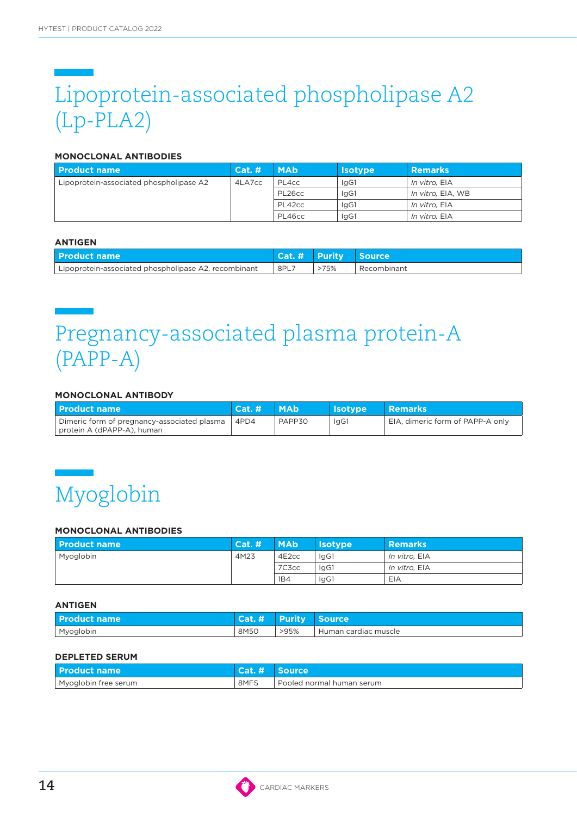## Lipoprotein-associated phospholipase A2 (Lp-PLA2)

### **MONOCLONAL ANTIBODIES**

| <b>Product name</b>                     | $Cat.$ # | <b>MAb</b> | <b>Isotype</b> | <b>Remarks</b>    |
|-----------------------------------------|----------|------------|----------------|-------------------|
| Lipoprotein-associated phospholipase A2 | 4LA7cc   | PL4cc      | lgG1           | In vitro. EIA     |
|                                         |          | PL26cc     | IgG1           | In vitro, EIA, WB |
|                                         |          | PL42cc     | IgG1           | In vitro. EIA     |
|                                         |          | PL46cc     | lgG1           | In vitro, EIA     |

#### **ANTIGEN**

| l Product name                                       | Cat. # Purity |      | <b>Source</b> |
|------------------------------------------------------|---------------|------|---------------|
| Lipoprotein-associated phospholipase A2, recombinant | 8PL7          | >75% | Recombinant   |

### Pregnancy-associated plasma protein-A (PAPP-A)

### **MONOCLONAL ANTIBODY**

| l Product name                                                                   | Cat. # | I MAb  | <b>Isotype</b> | Remarks                          |
|----------------------------------------------------------------------------------|--------|--------|----------------|----------------------------------|
| Dimeric form of pregnancy-associated plasma   4PD4<br>protein A (dPAPP-A), human |        | PAPP30 | lgG1           | EIA, dimeric form of PAPP-A only |

### Myoglobin

### **MONOCLONAL ANTIBODIES**

| l Product name | Cat. H | <b>MAb</b>         | <b>Isotype</b> | <b>Remarks</b> |
|----------------|--------|--------------------|----------------|----------------|
| Myoglobin      | 4M23   | 4E <sub>2</sub> cc | IgG1           | In vitro. EIA  |
|                |        | 7C3cc              | IgG1           | In vitro. EIA  |
|                |        | 1B4                | lgG1           | EIA            |

#### **ANTIGEN**

| <b>Product name</b> | $\sqrt{Cat. H}$ | <b>Purity</b> | <b>Source</b>        |
|---------------------|-----------------|---------------|----------------------|
| Myoglobin           | 8M50            | >95%          | Human cardiac muscle |

| <b>Product name</b>  | Cat.# | <i><b>Source</b></i>        |
|----------------------|-------|-----------------------------|
| Myoglobin free serum | 8MFS  | i Pooled normal human serum |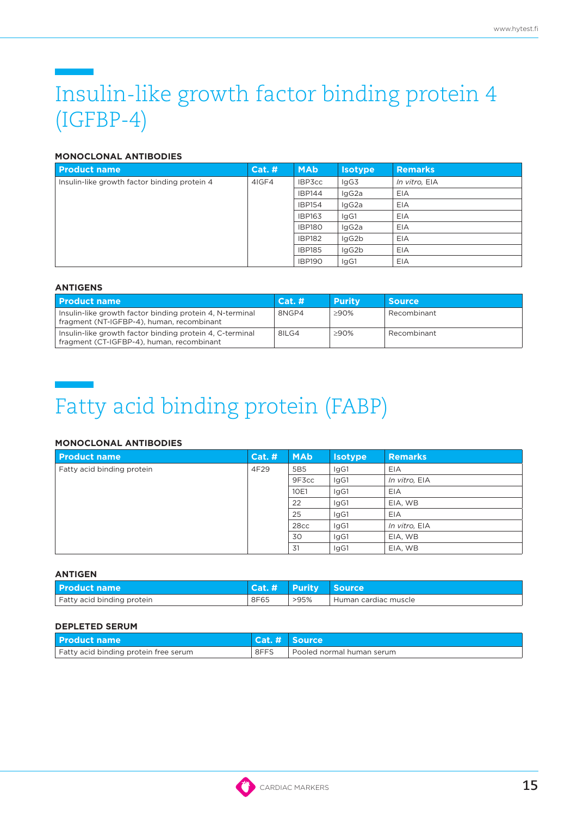### Insulin-like growth factor binding protein 4 (IGFBP-4)

### **MONOCLONAL ANTIBODIES**

| <b>Product name</b>                          | Cat.# | <b>MAb</b>    | <b>Isotype</b> | <b>Remarks</b> |
|----------------------------------------------|-------|---------------|----------------|----------------|
| Insulin-like growth factor binding protein 4 | 4IGF4 | IBP3cc        | lgG3           | In vitro, EIA  |
|                                              |       | <b>IBP144</b> | lgG2a          | EIA            |
|                                              |       | <b>IBP154</b> | lgG2a          | EIA            |
|                                              |       | <b>IBP163</b> | IgG1           | EIA            |
|                                              |       | <b>IBP180</b> | lgG2a          | EIA            |
|                                              |       | <b>IBP182</b> | lgG2b          | EIA            |
|                                              |       | <b>IBP185</b> | lgG2b          | EIA            |
|                                              |       | <b>IBP190</b> | IgG1           | EIA            |

### **ANTIGENS**

| l Product name                                                                                        | Cat. # | <b>Purity</b> | <b>Source</b> |
|-------------------------------------------------------------------------------------------------------|--------|---------------|---------------|
| Insulin-like growth factor binding protein 4, N-terminal<br>fragment (NT-IGFBP-4), human, recombinant | 8NGP4  | ≥90%          | Recombinant   |
| Insulin-like growth factor binding protein 4, C-terminal<br>fragment (CT-IGFBP-4), human, recombinant | 8ILG4  | ≥90%          | Recombinant   |

## Fatty acid binding protein (FABP)

### **MONOCLONAL ANTIBODIES**

| <b>Product name</b>                | <b>Cat. #</b> | <b>MAb</b>      | <b>Isotype</b> | <b>Remarks</b> |
|------------------------------------|---------------|-----------------|----------------|----------------|
| Fatty acid binding protein<br>4F29 |               | 5B <sub>5</sub> | IgG1           | EIA            |
|                                    |               | 9F3cc           | lgG1           | In vitro, EIA  |
|                                    |               | 10E1            | IgG1           | EIA            |
|                                    |               | 22              | lgG1           | EIA, WB        |
|                                    |               | 25              | IgG1           | EIA            |
|                                    |               | 28cc            | lgG1           | In vitro, EIA  |
|                                    |               | 30              | IgG1           | EIA, WB        |
|                                    |               | 31              | IgG1           | EIA, WB        |

#### **ANTIGEN**

| l Product name             | /Cat. # | / Purity | <b>Source</b>            |
|----------------------------|---------|----------|--------------------------|
| Fatty acid binding protein | 8F65    | >95%     | ' Human cardiac muscle I |

| <b>Product name</b>                   |      | Cat. # Source               |
|---------------------------------------|------|-----------------------------|
| Fatty acid binding protein free serum | 8FFS | I Pooled normal human serum |

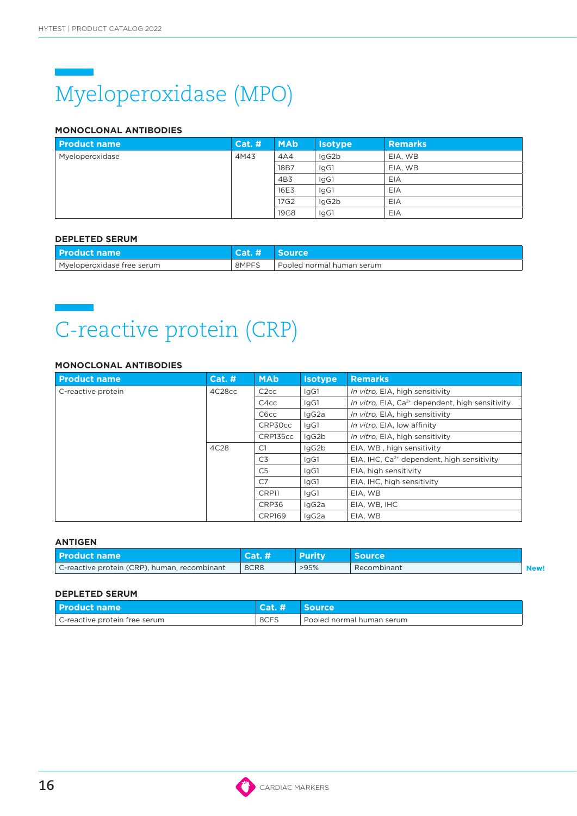# Myeloperoxidase (MPO)

### **MONOCLONAL ANTIBODIES**

| <b>Product name</b> | <b>Cat. #</b> | <b>MAb</b>  | <b>Isotype</b> | <b>Remarks</b> |
|---------------------|---------------|-------------|----------------|----------------|
| Myeloperoxidase     | 4M43          | 4A4         | lgG2b          | EIA, WB        |
|                     |               | 18B7        | lgG1           | EIA, WB        |
|                     |               | 4B3         | IgG1           | EIA            |
|                     |               | 16E3        | lgG1           | EIA            |
|                     |               | 17G2        | lgG2b          | EIA            |
|                     |               | <b>19G8</b> | IgG1           | EIA            |

### **DEPLETED SERUM**

| <b>Product name</b>        |       | source                      |
|----------------------------|-------|-----------------------------|
| Mveloperoxidase free serum | 8MPFS | I Pooled normal human serum |

## C-reactive protein (CRP)

### **MONOCLONAL ANTIBODIES**

| <b>Product name</b> | Cat. H | <b>MAb</b>        | <b>Isotype</b> | <b>Remarks</b>                                              |
|---------------------|--------|-------------------|----------------|-------------------------------------------------------------|
| C-reactive protein  | 4C28cc | C <sub>2</sub> cc | lgG1           | In vitro, EIA, high sensitivity                             |
|                     |        | C <sub>4</sub> cc | lgG1           | In vitro, EIA, Ca <sup>2+</sup> dependent, high sensitivity |
|                     |        | C <sub>6</sub> cc | lgG2a          | In vitro, EIA, high sensitivity                             |
|                     |        | CRP30cc           | lgG1           | In vitro, EIA, low affinity                                 |
|                     |        | CRP135cc          | lgG2b          | In vitro, EIA, high sensitivity                             |
|                     | 4C28   | C1                | lgG2b          | EIA, WB, high sensitivity                                   |
|                     |        | C3                | lgG1           | EIA, IHC, Ca <sup>2+</sup> dependent, high sensitivity      |
|                     |        | C <sub>5</sub>    | IgG1           | EIA, high sensitivity                                       |
|                     |        | C <sub>7</sub>    | IgG1           | EIA, IHC, high sensitivity                                  |
|                     |        | CRP11             | IgG1           | EIA, WB                                                     |
|                     |        | CRP36             | lgG2a          | EIA, WB, IHC                                                |
|                     |        | <b>CRP169</b>     | laG2a          | EIA, WB                                                     |

### **ANTIGEN**

| l Product name                               |      | <b>Purity</b> | source      |  |
|----------------------------------------------|------|---------------|-------------|--|
| C-reactive protein (CRP), human, recombinant | 8CR8 | >95%          | Recombinant |  |

| l Product name                | Cat.# | <b>Source</b>               |
|-------------------------------|-------|-----------------------------|
| C-reactive protein free serum | 8CFS  | I Pooled normal human serum |

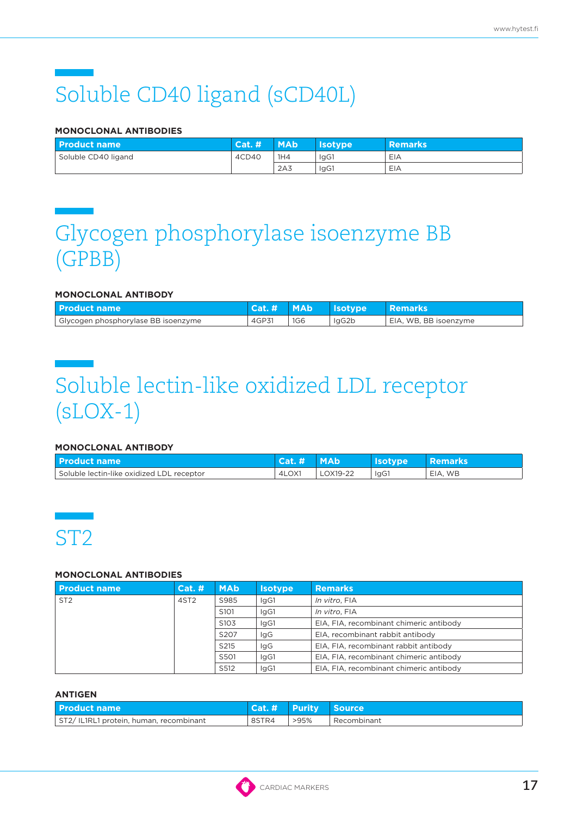# Soluble CD40 ligand (sCD40L)

### **MONOCLONAL ANTIBODIES**

| <b>Product name</b> | 「Cat. #」 | <b>MAb</b>      | <b>Nsotvpe</b> | <b>Remarks</b> |
|---------------------|----------|-----------------|----------------|----------------|
| Soluble CD40 ligand | 4CD40    | 1H4             | lgG1           | EIA            |
|                     |          | 2A <sub>3</sub> | lgG1           | EIA            |

### Glycogen phosphorylase isoenzyme BB (GPBB)

### **MONOCLONAL ANTIBODY**

| l Product name                      | $\textsf{Cat.}$ $\textsf{L}$ | <b>MAb</b> | <b>Isotype</b> | Remarks               |
|-------------------------------------|------------------------------|------------|----------------|-----------------------|
| Glycogen phosphorylase BB isoenzyme | 4GP31                        | <b>1G6</b> | laG2b          | EIA, WB, BB isoenzyme |

### Soluble lectin-like oxidized LDL receptor (sLOX-1)

### **MONOCLONAL ANTIBODY**

| <b>Product name</b>                       | <b>Cat.</b> | <b>MAb</b> | <b>Isotype</b> | <b>Remarks</b> |
|-------------------------------------------|-------------|------------|----------------|----------------|
| Soluble lectin-like oxidized LDL receptor | 4LOX1       | LOX19-22   | IgG1           | EIA, WB        |



### **MONOCLONAL ANTIBODIES**

| <b>Product name</b> | Cat.#            | <b>MAb</b>        | <b>Isotype</b> | <b>Remarks</b>                          |
|---------------------|------------------|-------------------|----------------|-----------------------------------------|
| ST <sub>2</sub>     | 4ST <sub>2</sub> | S985              | lgG1           | In vitro, FIA                           |
|                     |                  | S <sub>10</sub> 1 | lgG1           | In vitro. FIA                           |
|                     |                  | S <sub>10</sub> 3 | lgG1           | EIA, FIA, recombinant chimeric antibody |
|                     |                  | S207              | lgG            | EIA, recombinant rabbit antibody        |
|                     |                  | S215              | lgG            | EIA, FIA, recombinant rabbit antibody   |
|                     |                  | S501              | lgG1           | EIA, FIA, recombinant chimeric antibody |
|                     |                  | S512              | lgG1           | EIA, FIA, recombinant chimeric antibody |

| <b>Product name</b>                    |       | Cat. # Purity Source |             |
|----------------------------------------|-------|----------------------|-------------|
| ST2/IL1RL1 protein, human, recombinant | 8STR4 | >95%                 | Recombinant |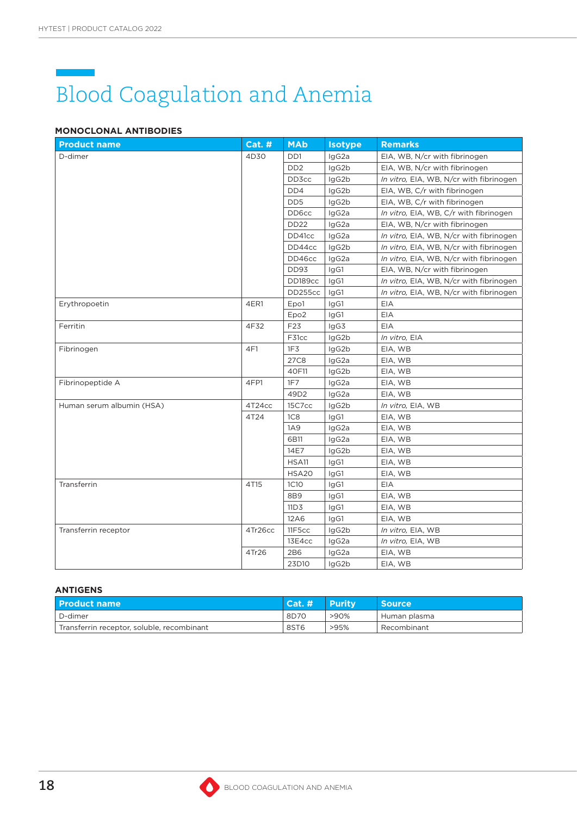# Blood Coagulation and Anemia

### **MONOCLONAL ANTIBODIES**

| <b>Product name</b>       | $Cat.$ # | <b>MAb</b>                  | <b>Isotype</b> | <b>Remarks</b>                          |
|---------------------------|----------|-----------------------------|----------------|-----------------------------------------|
| D-dimer                   | 4D30     | DD1                         | IgG2a          | EIA, WB, N/cr with fibrinogen           |
|                           |          | D <sub>D</sub> <sub>2</sub> | IgG2b          | EIA, WB, N/cr with fibrinogen           |
|                           |          | DD3cc                       | IgG2b          | In vitro, EIA, WB, N/cr with fibrinogen |
|                           |          | DD4                         | IgG2b          | EIA, WB, C/r with fibrinogen            |
|                           |          | DD <sub>5</sub>             | IgG2b          | EIA, WB, C/r with fibrinogen            |
|                           |          | DD6cc                       | IgG2a          | In vitro, EIA, WB, C/r with fibrinogen  |
|                           |          | <b>DD22</b>                 | IgG2a          | EIA, WB, N/cr with fibrinogen           |
|                           |          | DD41cc                      | IgG2a          | In vitro, EIA, WB, N/cr with fibrinogen |
|                           |          | DD44cc                      | IgG2b          | In vitro, EIA, WB, N/cr with fibrinogen |
|                           |          | DD46cc                      | IgG2a          | In vitro, EIA, WB, N/cr with fibrinogen |
|                           |          | DD93                        | IgG1           | EIA, WB, N/cr with fibrinogen           |
|                           |          | DD189cc                     | IgG1           | In vitro, EIA, WB, N/cr with fibrinogen |
|                           |          | DD255cc                     | IgG1           | In vitro, EIA, WB, N/cr with fibrinogen |
| Erythropoetin             | 4ER1     | Epo1                        | IgG1           | EIA                                     |
|                           |          | Epo <sub>2</sub>            | IgG1           | EIA                                     |
| Ferritin                  | 4F32     | F23                         | IgG3           | EIA                                     |
|                           |          | F31cc                       | IgG2b          | In vitro, EIA                           |
| Fibrinogen                | 4F1      | 1F <sub>3</sub>             | IgG2b          | EIA, WB                                 |
|                           |          | 27C8                        | IgG2a          | EIA, WB                                 |
|                           |          | 40F11                       | IgG2b          | EIA, WB                                 |
| Fibrinopeptide A          | 4FP1     | 1F7                         | IgG2a          | EIA, WB                                 |
|                           |          | 49D2                        | IgG2a          | EIA, WB                                 |
| Human serum albumin (HSA) | 4T24cc   | 15C7cc                      | IgG2b          | In vitro, EIA, WB                       |
|                           | 4T24     | 1C <sub>8</sub>             | IgG1           | EIA, WB                                 |
|                           |          | 1A9                         | IgG2a          | EIA, WB                                 |
|                           |          | 6B11                        | IgG2a          | EIA, WB                                 |
|                           |          | 14E7                        | IgG2b          | EIA, WB                                 |
|                           |          | HSA11                       | IgG1           | EIA, WB                                 |
|                           |          | HSA20                       | IgG1           | EIA, WB                                 |
| Transferrin               | 4T15     | <b>1C10</b>                 | IgG1           | EIA                                     |
|                           |          | 8B9                         | IgG1           | EIA, WB                                 |
|                           |          | 11D3                        | IgG1           | EIA, WB                                 |
|                           |          | 12A6                        | IgG1           | EIA, WB                                 |
| Transferrin receptor      | 4Tr26cc  | 11F5cc                      | IgG2b          | In vitro, EIA, WB                       |
|                           |          | 13E4cc                      | IgG2a          | In vitro, EIA, WB                       |
|                           | 4Tr26    | 2B6                         | IgG2a          | EIA, WB                                 |
|                           |          | 23D10                       | lgG2b          | EIA, WB                                 |

| <b>Product name</b>                        | Cat. # | <b>Purity</b> | <b>Source</b> |
|--------------------------------------------|--------|---------------|---------------|
| D-dimer                                    | 8D70   | $>90\%$       | Human plasma  |
| Transferrin receptor, soluble, recombinant | 8ST6   | >95%          | Recombinant   |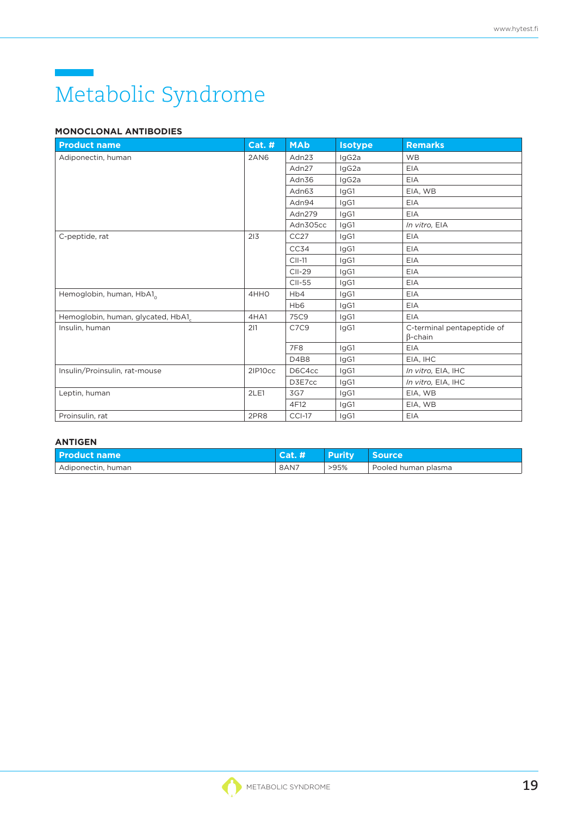# Metabolic Syndrome

### **MONOCLONAL ANTIBODIES**

| <b>Product name</b>               | <b>Cat. #</b> | <b>MAb</b>                  | <b>Isotype</b> | <b>Remarks</b>                               |
|-----------------------------------|---------------|-----------------------------|----------------|----------------------------------------------|
| Adiponectin, human                | 2AN6          | Adn23                       | IgG2a          | <b>WB</b>                                    |
|                                   |               | Adn27                       | IgG2a          | <b>EIA</b>                                   |
|                                   |               | Adn36                       | IgG2a          | <b>EIA</b>                                   |
|                                   |               | Adn63                       | IgG1           | EIA, WB                                      |
|                                   |               | Adn94                       | IgG1           | <b>EIA</b>                                   |
|                                   |               | Adn279                      | IgG1           | <b>EIA</b>                                   |
|                                   |               | Adn305cc                    | IgG1           | In vitro, EIA                                |
| C-peptide, rat                    | 213           | CC27                        | IgG1           | <b>EIA</b>                                   |
|                                   |               | CC34                        | IgG1           | <b>EIA</b>                                   |
|                                   |               | $CII-11$                    | IgG1           | <b>EIA</b>                                   |
|                                   |               | $CII-29$                    | IgG1           | <b>EIA</b>                                   |
|                                   |               | CII-55                      | IgG1           | <b>EIA</b>                                   |
| Hemoglobin, human, HbA1           | 4HHO          | H <sub>b</sub> 4            | IgG1           | <b>EIA</b>                                   |
|                                   |               | H <sub>b</sub> <sub>6</sub> | IgG1           | <b>EIA</b>                                   |
| Hemoglobin, human, glycated, HbA1 | 4HA1          | 75C9                        | IgG1           | <b>EIA</b>                                   |
| Insulin, human                    | 211           | C7C9                        | IgG1           | C-terminal pentapeptide of<br>$\beta$ -chain |
|                                   |               | 7F8                         | IgG1           | <b>EIA</b>                                   |
|                                   |               | D4B8                        | IgG1           | EIA, IHC                                     |
| Insulin/Proinsulin, rat-mouse     | 2IP10cc       | D6C4cc                      | IgG1           | In vitro, EIA, IHC                           |
|                                   |               | D3E7cc                      | IgG1           | In vitro, EIA, IHC                           |
| Leptin, human                     | 2LE1          | 3G7                         | IgG1           | EIA, WB                                      |
|                                   |               | 4F12                        | IgG1           | EIA, WB                                      |
| Proinsulin, rat                   | 2PR8          | $CCI-17$                    | IgG1           | EIA                                          |

| <b>Product name</b> | 「Cat. # | <b>Purity</b> | <b>Source</b>         |
|---------------------|---------|---------------|-----------------------|
| Adiponectin, human  | 8AN7    | >95%          | l Pooled human plasma |

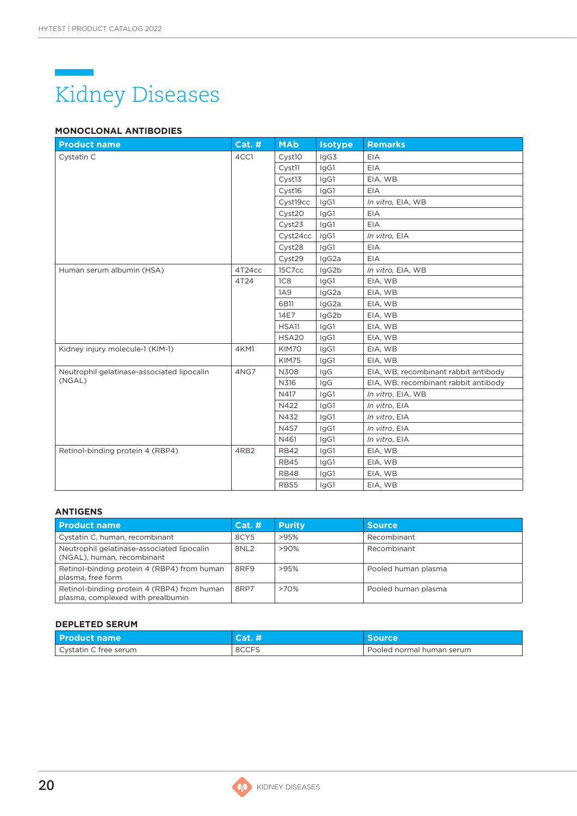

### **MONOCLONAL ANTIBODIES**

| <b>Product name</b>                        | <b>Cat. #</b> | <b>MAb</b>         | <b>Isotype</b> | <b>Remarks</b>                       |
|--------------------------------------------|---------------|--------------------|----------------|--------------------------------------|
| Cystatin C                                 | 4CC1          | Cyst10             | IgG3           | <b>EIA</b>                           |
|                                            |               | Cyst <sub>11</sub> | IgG1           | EIA                                  |
|                                            |               | Cyst13             | IgG1           | EIA, WB                              |
|                                            |               | Cyst16             | IgG1           | EIA                                  |
|                                            |               | Cyst19cc           | IgG1           | In vitro, EIA, WB                    |
|                                            |               | Cyst20             | IgG1           | <b>EIA</b>                           |
|                                            |               | Cyst23             | IgG1           | <b>EIA</b>                           |
|                                            |               | Cyst24cc           | IgG1           | In vitro, EIA                        |
|                                            |               | Cyst28             | IgG1           | EIA                                  |
|                                            |               | Cyst29             | IgG2a          | EIA                                  |
| Human serum albumin (HSA)                  | 4T24cc        | 15C7cc             | IgG2b          | In vitro, EIA, WB                    |
|                                            | 4T24          | 1C8                | IgG1           | EIA, WB                              |
|                                            |               | 1A9                | IgG2a          | EIA, WB                              |
|                                            |               | 6B11               | IgG2a          | EIA, WB                              |
|                                            |               | 14E7               | IgG2b          | EIA, WB                              |
|                                            |               | HSA11              | IgG1           | EIA, WB                              |
|                                            |               | HSA20              | IgG1           | EIA, WB                              |
| Kidney injury molecule-1 (KIM-1)           | 4KM1          | KIM70              | IgG1           | EIA, WB                              |
|                                            |               | <b>KIM75</b>       | IgG1           | EIA, WB                              |
| Neutrophil gelatinase-associated lipocalin | 4NG7          | N308               | IgG            | EIA, WB, recombinant rabbit antibody |
| (NGAL)                                     |               | N316               | IgG            | EIA, WB, recombinant rabbit antibody |
|                                            |               | N417               | IgG1           | In vitro, EIA, WB                    |
|                                            |               | N422               | IgG1           | In vitro, EIA                        |
|                                            |               | N432               | IgG1           | In vitro, EIA                        |
|                                            |               | N457               | IgG1           | In vitro, EIA                        |
|                                            |               | N461               | IgG1           | In vitro, EIA                        |
| Retinol-binding protein 4 (RBP4)           | 4RB2          | <b>RB42</b>        | IgG1           | EIA, WB                              |
|                                            |               | <b>RB45</b>        | IgG1           | EIA, WB                              |
|                                            |               | <b>RB48</b>        | lgG1           | EIA, WB                              |
|                                            |               | <b>RB55</b>        | IgG1           | EIA, WB                              |

#### **ANTIGENS**

| <b>Product name</b>                                                              | Cat.#            | <b>Purity</b> | <b>Source</b>       |
|----------------------------------------------------------------------------------|------------------|---------------|---------------------|
| Cystatin C, human, recombinant                                                   | 8CY5             | >95%          | Recombinant         |
| Neutrophil gelatinase-associated lipocalin<br>(NGAL), human, recombinant         | 8NL <sub>2</sub> | $>90\%$       | Recombinant         |
| Retinol-binding protein 4 (RBP4) from human<br>plasma, free form                 | 8RF9             | >95%          | Pooled human plasma |
| Retinol-binding protein 4 (RBP4) from human<br>plasma, complexed with prealbumin | 8RP7             | >70%          | Pooled human plasma |

### **DEPLETED SERUM**

| <b>Product name</b>   | Cat.  | Source                      |
|-----------------------|-------|-----------------------------|
| Cystatin C free serum | 8CCFS | . Pooled normal human serum |

G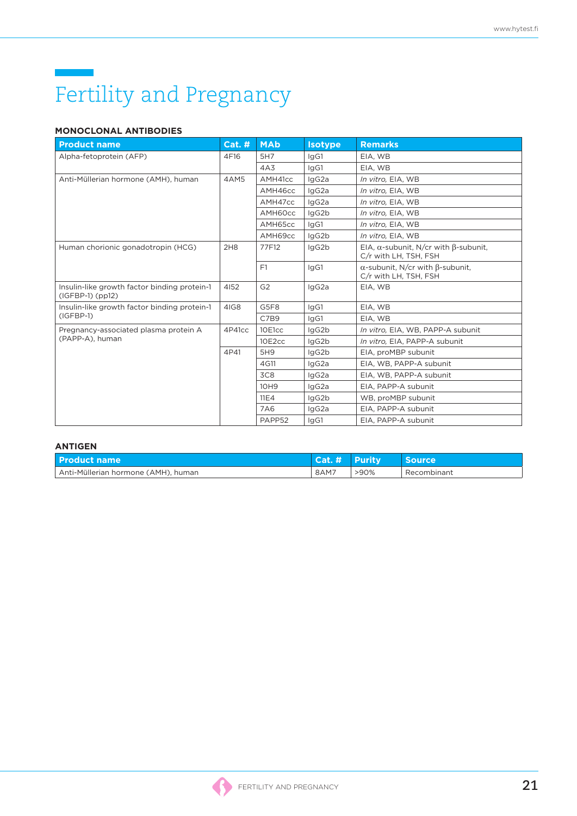# Fertility and Pregnancy

### **MONOCLONAL ANTIBODIES**

| <b>Product name</b>                                                  | <b>Cat. #</b> | <b>MAb</b>      | <b>Isotype</b> | <b>Remarks</b>                                                               |
|----------------------------------------------------------------------|---------------|-----------------|----------------|------------------------------------------------------------------------------|
| Alpha-fetoprotein (AFP)                                              | 4F16          | 5H7             | IgG1           | EIA, WB                                                                      |
|                                                                      |               | 4A3             | lgG1           | EIA, WB                                                                      |
| Anti-Müllerian hormone (AMH), human                                  | 4AM5          | AMH41cc         | IgG2a          | In vitro, EIA, WB                                                            |
|                                                                      |               | AMH46cc         | IgG2a          | In vitro, EIA, WB                                                            |
|                                                                      |               | AMH47cc         | IgG2a          | In vitro, EIA, WB                                                            |
|                                                                      |               | AMH60cc         | IgG2b          | In vitro, EIA, WB                                                            |
|                                                                      |               | AMH65cc         | IgG1           | In vitro, EIA, WB                                                            |
|                                                                      |               | AMH69cc         | IgG2b          | In vitro, EIA, WB                                                            |
| Human chorionic gonadotropin (HCG)                                   | 2H8           | 77F12           | IgG2b          | EIA, $\alpha$ -subunit, N/cr with $\beta$ -subunit,<br>C/r with LH, TSH, FSH |
|                                                                      |               | F1              | IgG1           | $\alpha$ -subunit, N/cr with $\beta$ -subunit,<br>C/r with LH, TSH, FSH      |
| Insulin-like growth factor binding protein-1<br>$(IGFBP-1)$ $(pp12)$ | 4152          | G <sub>2</sub>  | IgG2a          | EIA, WB                                                                      |
| Insulin-like growth factor binding protein-1                         | 4IG8          | G5F8            | lgG1           | EIA, WB                                                                      |
| $(IGFBP-1)$                                                          |               | C7B9            | lgG1           | EIA, WB                                                                      |
| Pregnancy-associated plasma protein A                                | 4P41cc        | 10E1cc          | lgG2b          | In vitro, EIA, WB, PAPP-A subunit                                            |
| (PAPP-A), human                                                      |               | 10E2cc          | lgG2b          | In vitro, EIA, PAPP-A subunit                                                |
|                                                                      | 4P41          | 5H9             | lgG2b          | EIA, proMBP subunit                                                          |
|                                                                      |               | 4G11            | IgG2a          | EIA, WB, PAPP-A subunit                                                      |
|                                                                      |               | 3C <sub>8</sub> | IgG2a          | EIA, WB, PAPP-A subunit                                                      |
|                                                                      |               | 10H9            | IgG2a          | EIA. PAPP-A subunit                                                          |
|                                                                      |               | 11E4            | IgG2b          | WB, proMBP subunit                                                           |
|                                                                      |               | 7A6             | IgG2a          | EIA. PAPP-A subunit                                                          |
|                                                                      |               | PAPP52          | lgG1           | EIA. PAPP-A subunit                                                          |

| <b>Product name</b>                 | Cat. # Purity |      | <b>Source</b> |
|-------------------------------------|---------------|------|---------------|
| Anti-Müllerian hormone (AMH), human | 8AM7          | >90% | Recombinant   |

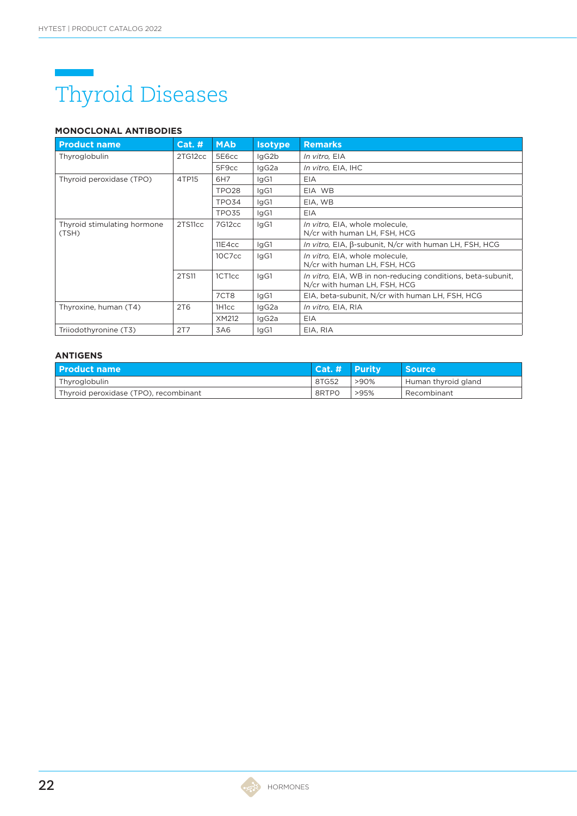### Thyroid Diseases

### **MONOCLONAL ANTIBODIES**

| <b>Product name</b>                  | Cat. H          | <b>MAb</b>         | <b>Isotype</b> | <b>Remarks</b>                                                                              |
|--------------------------------------|-----------------|--------------------|----------------|---------------------------------------------------------------------------------------------|
| Thyroglobulin                        | 2TG12cc         | 5E6cc              | lgG2b          | <i>In vitro</i> , EIA                                                                       |
|                                      |                 | 5F9cc              | lgG2a          | In vitro, EIA, IHC                                                                          |
| Thyroid peroxidase (TPO)             | 4TP15           | 6H7                | lgG1           | <b>EIA</b>                                                                                  |
|                                      |                 | TPO <sub>28</sub>  | lgG1           | EIA WB                                                                                      |
|                                      |                 | TPO34              | IgG1           | EIA, WB                                                                                     |
|                                      |                 | TPO35              | lgG1           | <b>EIA</b>                                                                                  |
| Thyroid stimulating hormone<br>(TSH) | 2TS11cc         | 7G12cc             | IgG1           | In vitro, EIA, whole molecule,<br>N/cr with human LH, FSH, HCG                              |
|                                      |                 | 11E4cc             | IgG1           | In vitro, EIA, $\beta$ -subunit, N/cr with human LH, FSH, HCG                               |
|                                      |                 | 10C7cc             | lgG1           | In vitro, EIA, whole molecule,<br>N/cr with human LH, FSH, HCG                              |
|                                      | 2TS11           | 1CT1cc             | IgG1           | In vitro, EIA, WB in non-reducing conditions, beta-subunit,<br>N/cr with human LH, FSH, HCG |
|                                      |                 | 7CT8               | IgG1           | EIA, beta-subunit, N/cr with human LH, FSH, HCG                                             |
| Thyroxine, human (T4)                | 2T <sub>6</sub> | 1H <sub>1</sub> cc | IgG2a          | <i>In vitro</i> , EIA, RIA                                                                  |
|                                      |                 | XM212              | lgG2a          | EIA                                                                                         |
| Triiodothyronine (T3)                | 2T7             | 3A6                | lgG1           | EIA, RIA                                                                                    |

| l Product name                        | $\vert$ Cat. # Purity |         | <b>Source</b>       |
|---------------------------------------|-----------------------|---------|---------------------|
| Thyroglobulin                         | 8TG52                 | $>90\%$ | Human thyroid gland |
| Thyroid peroxidase (TPO), recombinant | 8RTPO                 | >95%    | Recombinant         |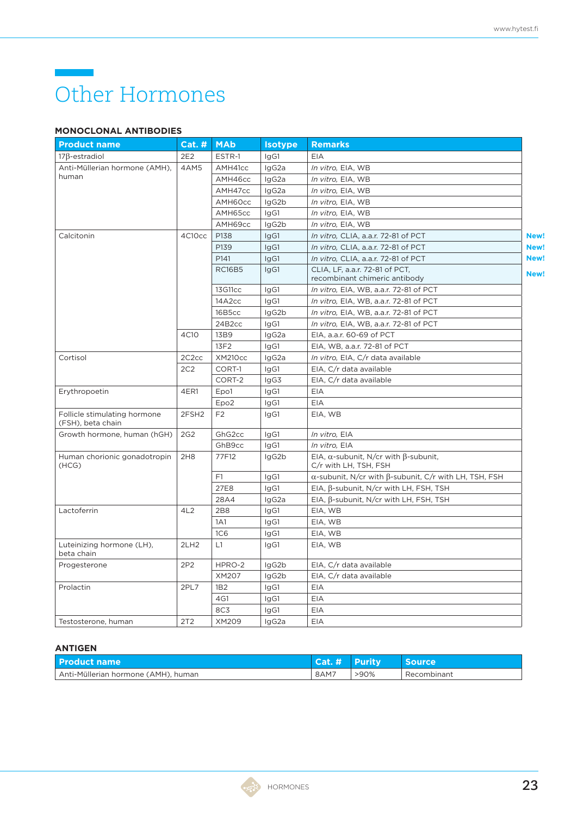### Other Hormones

### **MONOCLONAL ANTIBODIES**

| <b>Product name</b>                               | $Cat.$ #           | <b>MAb</b>         | <b>Isotype</b> | <b>Remarks</b>                                                               |      |
|---------------------------------------------------|--------------------|--------------------|----------------|------------------------------------------------------------------------------|------|
| $17\beta$ -estradiol                              | 2E2                | ESTR-1             | lgG1           | EIA                                                                          |      |
| Anti-Müllerian hormone (AMH),                     | 4AM5               | AMH41cc            | lgG2a          | In vitro, EIA, WB                                                            |      |
| human                                             |                    | AMH46cc            | lgG2a          | In vitro, EIA, WB                                                            |      |
|                                                   |                    | AMH47cc            | IgG2a          | In vitro, EIA, WB                                                            |      |
|                                                   |                    | AMH60cc            | IgG2b          | In vitro, EIA, WB                                                            |      |
|                                                   |                    | AMH65cc            | IgG1           | In vitro, EIA, WB                                                            |      |
|                                                   |                    | AMH69cc            | IgG2b          | In vitro, EIA, WB                                                            |      |
| Calcitonin                                        | 4C10cc             | P138               | IgG1           | In vitro, CLIA, a.a.r. 72-81 of PCT                                          | New! |
|                                                   |                    | P139               | IgG1           | In vitro, CLIA, a.a.r. 72-81 of PCT                                          | New! |
|                                                   |                    | P141               | IgG1           | In vitro, CLIA, a.a.r. 72-81 of PCT                                          | New! |
|                                                   |                    | <b>RC16B5</b>      | IgG1           | CLIA, LF, a.a.r. 72-81 of PCT,<br>recombinant chimeric antibody              | New! |
|                                                   |                    | 13G11cc            | IgG1           | In vitro, EIA, WB, a.a.r. 72-81 of PCT                                       |      |
|                                                   |                    | 14A2cc             | IgG1           | In vitro, EIA, WB, a.a.r. 72-81 of PCT                                       |      |
|                                                   |                    | 16B5cc             | lgG2b          | In vitro, EIA, WB, a.a.r. 72-81 of PCT                                       |      |
|                                                   |                    | 24B <sub>2cc</sub> | IgG1           | In vitro, EIA, WB, a.a.r. 72-81 of PCT                                       |      |
|                                                   | 4C10               | 13B9               | lgG2a          | EIA, a.a.r. 60-69 of PCT                                                     |      |
|                                                   |                    | 13F2               | IgG1           | EIA, WB, a.a.r. 72-81 of PCT                                                 |      |
| Cortisol                                          | 2C <sub>2</sub> cc | <b>XM210cc</b>     | IgG2a          | In vitro, EIA, C/r data available                                            |      |
|                                                   | 2C2                | CORT-1             | IgG1           | EIA, C/r data available                                                      |      |
|                                                   |                    | CORT-2             | IgG3           | EIA, C/r data available                                                      |      |
| Erythropoetin                                     | 4ER1               | Epo1               | IgG1           | EIA                                                                          |      |
|                                                   |                    | Epo <sub>2</sub>   | IgG1           | <b>EIA</b>                                                                   |      |
| Follicle stimulating hormone<br>(FSH), beta chain | 2FSH <sub>2</sub>  | F <sub>2</sub>     | IgG1           | EIA, WB                                                                      |      |
| Growth hormone, human (hGH)                       | 2G <sub>2</sub>    | GhG <sub>2cc</sub> | IgG1           | In vitro, EIA                                                                |      |
|                                                   |                    | GhB9cc             | IgG1           | In vitro, EIA                                                                |      |
| Human chorionic gonadotropin<br>(HCG)             | 2H8                | 77F12              | lgG2b          | EIA, $\alpha$ -subunit, N/cr with $\beta$ -subunit,<br>C/r with LH, TSH, FSH |      |
|                                                   |                    | F1                 | IgG1           | $\alpha$ -subunit, N/cr with $\beta$ -subunit, C/r with LH, TSH, FSH         |      |
|                                                   |                    | 27E8               | IgG1           | EIA, $\beta$ -subunit, N/cr with LH, FSH, TSH                                |      |
|                                                   |                    | 28A4               | IgG2a          | EIA, $β$ -subunit, N/cr with LH, FSH, TSH                                    |      |
| Lactoferrin                                       | 4L2                | 2B8                | IgG1           | EIA, WB                                                                      |      |
|                                                   |                    | 1A1                | IgG1           | EIA, WB                                                                      |      |
|                                                   |                    | 1C <sub>6</sub>    | IgG1           | EIA, WB                                                                      |      |
| Luteinizing hormone (LH),<br>beta chain           | 2LH <sub>2</sub>   | L1                 | IgG1           | EIA, WB                                                                      |      |
| Progesterone                                      | 2P2                | HPRO-2             | IgG2b          | EIA, C/r data available                                                      |      |
|                                                   |                    | XM207              | IgG2b          | EIA, C/r data available                                                      |      |
| Prolactin                                         | 2PL7               | 1B <sub>2</sub>    | IgG1           | EIA                                                                          |      |
|                                                   |                    | 4G1                | IgG1           | EIA                                                                          |      |
|                                                   |                    | 8C3                | IgG1           | <b>EIA</b>                                                                   |      |
| Testosterone, human                               | 2T2                | XM209              | IgG2a          | EIA                                                                          |      |

| l Product name                      | $\mathsf{Cat} \# \ \mathsf{Purity}$ |      | <b>Source</b> |
|-------------------------------------|-------------------------------------|------|---------------|
| Anti-Müllerian hormone (AMH), human | 8AM7                                | >90% | Recombinant   |

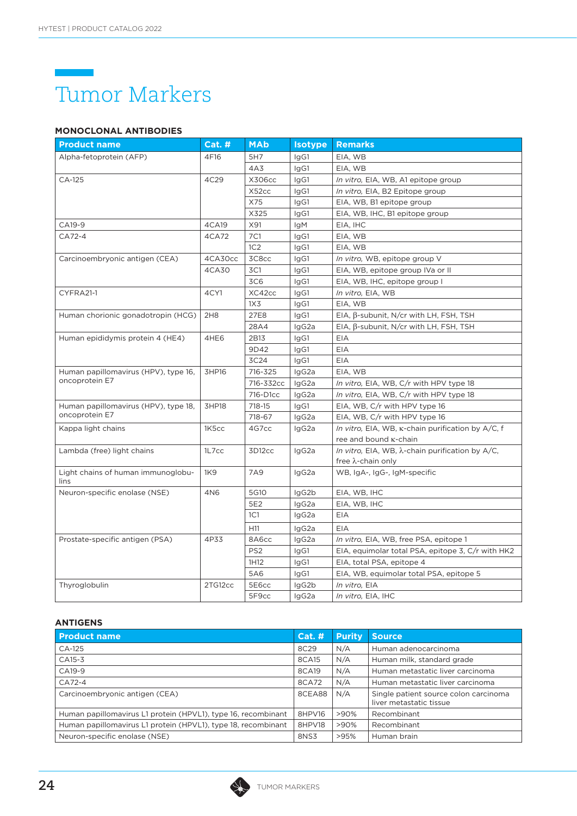

### **MONOCLONAL ANTIBODIES**

| <b>Product name</b>                                    | Cat.#            | <b>MAb</b>      | <b>Isotype</b> | <b>Remarks</b>                                           |
|--------------------------------------------------------|------------------|-----------------|----------------|----------------------------------------------------------|
| Alpha-fetoprotein (AFP)                                | 4F16             | 5H7             | IgG1           | EIA, WB                                                  |
|                                                        |                  | 4A3             | IgG1           | EIA, WB                                                  |
| CA-125                                                 | 4C29             | X306cc          | IgG1           | In vitro, EIA, WB, A1 epitope group                      |
|                                                        |                  | X52cc           | IgG1           | In vitro, EIA, B2 Epitope group                          |
|                                                        |                  | X75             | IgG1           | EIA, WB, B1 epitope group                                |
|                                                        |                  | X325            | IgG1           | EIA, WB, IHC, B1 epitope group                           |
| CA19-9                                                 | 4CA19            | X91             | lgM            | EIA, IHC                                                 |
| CA72-4                                                 | 4CA72            | 7C1             | IgG1           | EIA, WB                                                  |
|                                                        |                  | 1C2             | IgG1           | EIA, WB                                                  |
| Carcinoembryonic antigen (CEA)                         | 4CA30cc          | 3C8cc           | IgG1           | In vitro, WB, epitope group V                            |
|                                                        | 4CA30            | 3C1             | IgG1           | EIA, WB, epitope group IVa or II                         |
|                                                        |                  | 3C <sub>6</sub> | IgG1           | EIA, WB, IHC, epitope group I                            |
| CYFRA21-1                                              | 4CY1             | XC42cc          | IgG1           | In vitro, EIA, WB                                        |
|                                                        |                  | 1X <sub>3</sub> | IgG1           | EIA, WB                                                  |
| Human chorionic gonadotropin (HCG)                     | 2H8              | 27E8            | IgG1           | EIA, $\beta$ -subunit, N/cr with LH, FSH, TSH            |
|                                                        |                  | 28A4            | lgG2a          | EIA, $\beta$ -subunit, N/cr with LH, FSH, TSH            |
| Human epididymis protein 4 (HE4)                       | 4HE <sub>6</sub> | 2B13            | IgG1           | EIA                                                      |
|                                                        |                  | 9D42            | IgG1           | EIA                                                      |
|                                                        |                  | 3C24            | IgG1           | EIA                                                      |
| Human papillomavirus (HPV), type 16,<br>oncoprotein E7 | 3HP16            | 716-325         | lgG2a          | EIA, WB                                                  |
|                                                        |                  | 716-332cc       | lgG2a          | In vitro, EIA, WB, C/r with HPV type 18                  |
|                                                        |                  | 716-D1cc        | IgG2a          | In vitro, EIA, WB, C/r with HPV type 18                  |
| Human papillomavirus (HPV), type 18,                   | 3HP18            | 718-15          | lgG1           | EIA, WB, C/r with HPV type 16                            |
| oncoprotein E7                                         |                  | 718-67          | IgG2a          | EIA, WB, C/r with HPV type 16                            |
| Kappa light chains                                     | 1K5cc            | 4G7cc           | IgG2a          | In vitro, EIA, WB, K-chain purification by A/C, f        |
|                                                        |                  |                 |                | ree and bound <b>K-chain</b>                             |
| Lambda (free) light chains                             | 1L7cc            | 3D12cc          | IgG2a          | In vitro, EIA, WB, $\lambda$ -chain purification by A/C, |
|                                                        |                  |                 |                | free λ-chain only                                        |
| Light chains of human immunoglobu-<br>lins             | 1K9              | 7A9             | IgG2a          | WB, IgA-, IgG-, IgM-specific                             |
| Neuron-specific enolase (NSE)                          | 4N6              | 5G10            | lgG2b          | EIA, WB, IHC                                             |
|                                                        |                  | 5E2             | IgG2a          | EIA, WB, IHC                                             |
|                                                        |                  | 1C1             | IgG2a          | EIA                                                      |
|                                                        |                  | H11             | IgG2a          | EIA                                                      |
| Prostate-specific antigen (PSA)                        | 4P33             | 8A6cc           | lgG2a          | In vitro, EIA, WB, free PSA, epitope 1                   |
|                                                        |                  | PS <sub>2</sub> | IgG1           | EIA, equimolar total PSA, epitope 3, C/r with HK2        |
|                                                        |                  | 1H12            | IgG1           | EIA, total PSA, epitope 4                                |
|                                                        |                  | 5A6             | IgG1           | EIA, WB, equimolar total PSA, epitope 5                  |
| Thyroglobulin                                          | 2TG12cc          | 5E6cc           | lgG2b          | In vitro, EIA                                            |
|                                                        |                  | 5F9cc           | lgG2a          | In vitro, EIA, IHC                                       |

| <b>Product name</b>                                           | Cat.#  | <b>Purity</b> | Source,                                                          |
|---------------------------------------------------------------|--------|---------------|------------------------------------------------------------------|
| CA-125                                                        | 8C29   | N/A           | Human adenocarcinoma                                             |
| CA15-3                                                        | 8CA15  | N/A           | Human milk, standard grade                                       |
| CA19-9                                                        | 8CA19  | N/A           | Human metastatic liver carcinoma                                 |
| CA72-4                                                        | 8CA72  | N/A           | Human metastatic liver carcinoma                                 |
| Carcinoembryonic antigen (CEA)                                | 8CEA88 | N/A           | Single patient source colon carcinoma<br>liver metastatic tissue |
| Human papillomavirus L1 protein (HPVL1), type 16, recombinant | 8HPV16 | $>90\%$       | Recombinant                                                      |
| Human papillomavirus L1 protein (HPVL1), type 18, recombinant | 8HPV18 | >90%          | Recombinant                                                      |
| Neuron-specific enolase (NSE)                                 | 8NS3   | >95%          | Human brain                                                      |

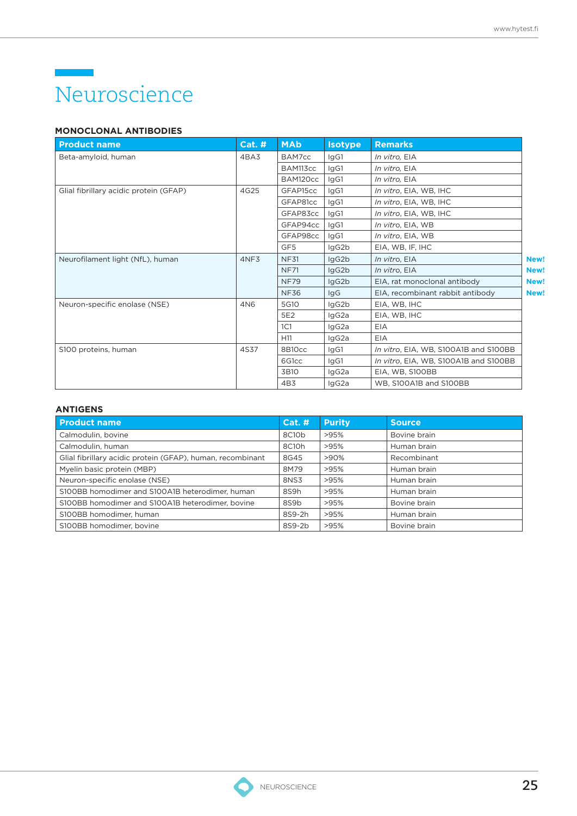### Neuroscience

### **MONOCLONAL ANTIBODIES**

| <b>Product name</b>                    | $Cat.$ #        | <b>MAb</b>         | <b>Isotype</b> | <b>Remarks</b>                        |      |
|----------------------------------------|-----------------|--------------------|----------------|---------------------------------------|------|
| Beta-amyloid, human                    | 4BA3            | BAM7cc             | IgG1           | In vitro, EIA                         |      |
|                                        |                 | BAM113cc           | lgG1           | In vitro, EIA                         |      |
|                                        |                 | BAM120cc           | IgG1           | In vitro, EIA                         |      |
| Glial fibrillary acidic protein (GFAP) | 4G25            | GFAP15cc           | IgG1           | In vitro, EIA, WB, IHC                |      |
|                                        |                 | GFAP81cc           | lgG1           | In vitro, EIA, WB, IHC                |      |
|                                        |                 | GFAP83cc           | lgG1           | In vitro, EIA, WB, IHC                |      |
|                                        |                 | GFAP94cc           | IgG1           | In vitro, EIA, WB                     |      |
|                                        |                 | GFAP98cc           | IgG1           | In vitro, EIA, WB                     |      |
|                                        |                 | GF5                | IgG2b          | EIA, WB, IF, IHC                      |      |
| Neurofilament light (NfL), human       | 4NF3            | <b>NF31</b>        | IgG2b          | In vitro, EIA                         | New! |
|                                        |                 | <b>NF71</b>        | IgG2b          | In vitro. EIA                         | New! |
|                                        |                 | <b>NF79</b>        | IgG2b          | EIA, rat monoclonal antibody          | New! |
|                                        |                 | <b>NF36</b>        | IgG            | EIA, recombinant rabbit antibody      | New! |
| Neuron-specific enolase (NSE)          | 4N <sub>6</sub> | 5G10               | lgG2b          | EIA, WB, IHC                          |      |
|                                        |                 | 5E2                | IgG2a          | EIA, WB, IHC                          |      |
|                                        |                 | 1C1                | IgG2a          | EIA                                   |      |
|                                        |                 | H <sub>11</sub>    | IgG2a          | <b>EIA</b>                            |      |
| S100 proteins, human                   | 4S37            | 8B10cc             | lgG1           | In vitro, EIA, WB, S100A1B and S100BB |      |
|                                        |                 | 6G <sub>1</sub> cc | IgG1           | In vitro, EIA, WB, S100A1B and S100BB |      |
|                                        |                 | 3B10               | IgG2a          | EIA, WB, S100BB                       |      |
|                                        |                 | 4B3                | IgG2a          | WB. S100A1B and S100BB                |      |

| <b>Product name</b>                                        | Cat. H | <b>Purity</b> | <b>Source</b> |
|------------------------------------------------------------|--------|---------------|---------------|
| Calmodulin, bovine                                         | 8C10b  | >95%          | Bovine brain  |
| Calmodulin, human                                          | 8C10h  | >95%          | Human brain   |
| Glial fibrillary acidic protein (GFAP), human, recombinant | 8G45   | $>90\%$       | Recombinant   |
| Myelin basic protein (MBP)                                 | 8M79   | >95%          | Human brain   |
| Neuron-specific enolase (NSE)                              | 8NS3   | >95%          | Human brain   |
| S100BB homodimer and S100A1B heterodimer, human            | 8S9h   | >95%          | Human brain   |
| S100BB homodimer and S100A1B heterodimer, bovine           | 8S9b   | >95%          | Bovine brain  |
| S100BB homodimer, human                                    | 8S9-2h | >95%          | Human brain   |
| S100BB homodimer, bovine                                   | 8S9-2b | >95%          | Bovine brain  |

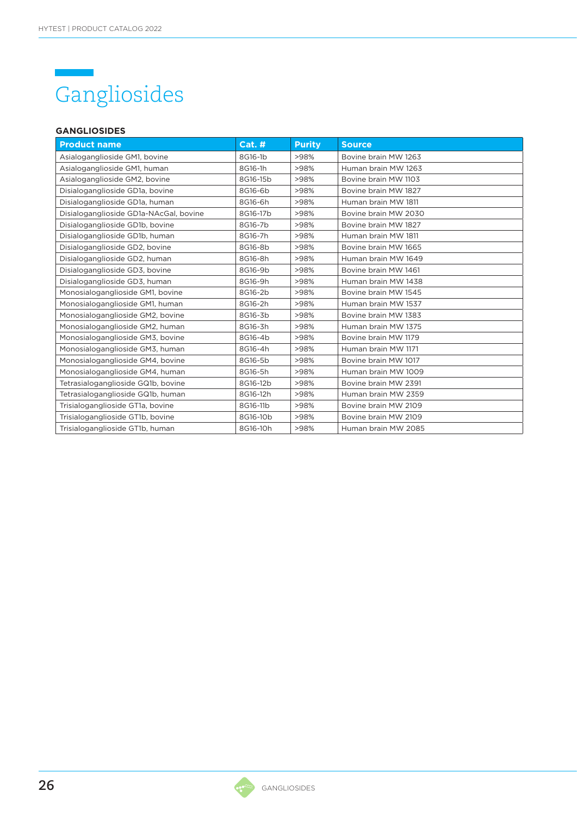### Gangliosides

### **GANGLIOSIDES**

| <b>Product name</b>                    | Cat.#    | <b>Purity</b> | <b>Source</b>        |
|----------------------------------------|----------|---------------|----------------------|
| Asialoganglioside GM1, bovine          | 8G16-1b  | >98%          | Bovine brain MW 1263 |
| Asialoganglioside GM1, human           | 8G16-1h  | >98%          | Human brain MW 1263  |
| Asialoganglioside GM2, bovine          | 8G16-15b | >98%          | Bovine brain MW 1103 |
| Disialoganglioside GD1a, bovine        | 8G16-6b  | >98%          | Bovine brain MW 1827 |
| Disialoganglioside GD1a, human         | 8G16-6h  | >98%          | Human brain MW 1811  |
| Disialoganglioside GD1a-NAcGal, bovine | 8G16-17b | >98%          | Bovine brain MW 2030 |
| Disialoganglioside GD1b, bovine        | 8G16-7b  | >98%          | Bovine brain MW 1827 |
| Disialoganglioside GD1b, human         | 8G16-7h  | >98%          | Human brain MW 1811  |
| Disialoganglioside GD2, bovine         | 8G16-8b  | >98%          | Bovine brain MW 1665 |
| Disialoganglioside GD2, human          | 8G16-8h  | >98%          | Human brain MW 1649  |
| Disialoganglioside GD3, bovine         | 8G16-9b  | >98%          | Bovine brain MW 1461 |
| Disialoganglioside GD3, human          | 8G16-9h  | >98%          | Human brain MW 1438  |
| Monosialoganglioside GM1, bovine       | 8G16-2b  | >98%          | Bovine brain MW 1545 |
| Monosialoganglioside GM1, human        | 8G16-2h  | >98%          | Human brain MW 1537  |
| Monosialoganglioside GM2, bovine       | 8G16-3b  | >98%          | Bovine brain MW 1383 |
| Monosialoganglioside GM2, human        | 8G16-3h  | >98%          | Human brain MW 1375  |
| Monosialoganglioside GM3, bovine       | 8G16-4b  | >98%          | Bovine brain MW 1179 |
| Monosialoganglioside GM3, human        | 8G16-4h  | >98%          | Human brain MW 1171  |
| Monosialoganglioside GM4, bovine       | 8G16-5b  | >98%          | Bovine brain MW 1017 |
| Monosialoganglioside GM4, human        | 8G16-5h  | >98%          | Human brain MW 1009  |
| Tetrasialoganglioside GQ1b, bovine     | 8G16-12b | >98%          | Bovine brain MW 2391 |
| Tetrasialoganglioside GQ1b, human      | 8G16-12h | >98%          | Human brain MW 2359  |
| Trisialoganglioside GT1a, bovine       | 8G16-11b | >98%          | Bovine brain MW 2109 |
| Trisialoganglioside GT1b, bovine       | 8G16-10b | >98%          | Bovine brain MW 2109 |
| Trisialoganglioside GT1b, human        | 8G16-10h | >98%          | Human brain MW 2085  |



**CANC**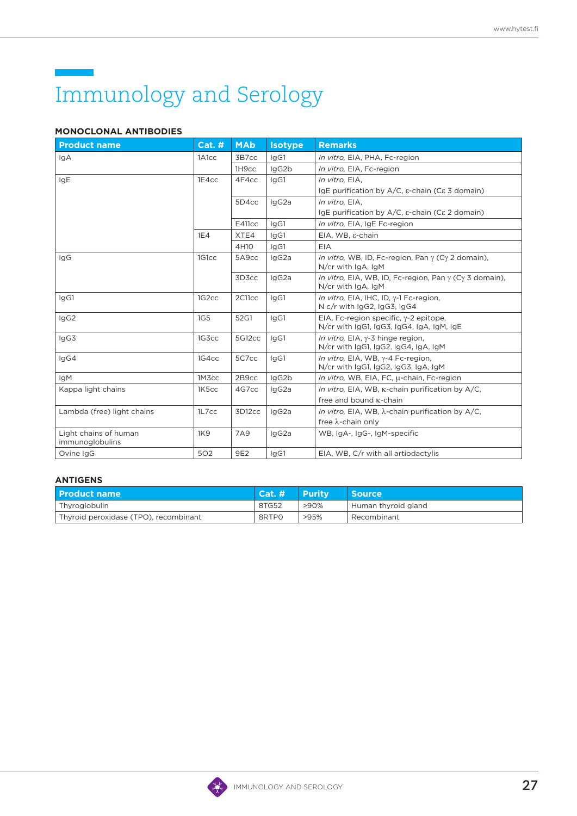# Immunology and Serology

### **MONOCLONAL ANTIBODIES**

| <b>Product name</b>                      | <b>Cat. #</b>      | <b>MAb</b>        | <b>Isotype</b> | <b>Remarks</b>                                                                      |
|------------------------------------------|--------------------|-------------------|----------------|-------------------------------------------------------------------------------------|
| IgA                                      | 1A1cc              | 3B7cc             | lgG1           | In vitro, EIA, PHA, Fc-region                                                       |
|                                          |                    | 1H <sub>9cc</sub> | lgG2b          | In vitro, EIA, Fc-region                                                            |
| IgE                                      | 1E4cc              | 4F4cc             | lgG1           | In vitro, EIA,                                                                      |
|                                          |                    |                   |                | IgE purification by $A/C$ , $\varepsilon$ -chain (C $\varepsilon$ 3 domain)         |
|                                          |                    | 5D4cc             | IgG2a          | In vitro, EIA,                                                                      |
|                                          |                    |                   |                | IgE purification by A/C, ε-chain (Cε 2 domain)                                      |
|                                          |                    | <b>E411cc</b>     | lgG1           | In vitro, EIA, IgE Fc-region                                                        |
|                                          | 1E4                | XTE4              | IgG1           | EIA, WB, ε-chain                                                                    |
|                                          |                    | 4H10              | IgG1           | EIA                                                                                 |
| IgG                                      | 1G1cc              | 5A9cc             | IgG2a          | In vitro, WB, ID, Fc-region, Pan y (Cy 2 domain),<br>$N/cr$ with $IqA$ , $IqM$      |
|                                          |                    | 3D3cc             | IgG2a          | In vitro, EIA, WB, ID, Fc-region, Pan y (Cy 3 domain),<br>$N/cr$ with $lgA$ , $lgM$ |
| IgG1                                     | 1G <sub>2</sub> cc | 2C11cc            | lgG1           | In vitro, EIA, IHC, ID, γ-1 Fc-region,<br>N c/r with IgG2, IgG3, IgG4               |
| IgG2                                     | 1G <sub>5</sub>    | 52G1              | lgG1           | EIA, Fc-region specific, γ-2 epitope,<br>N/cr with IgG1, IgG3, IgG4, IgA, IgM, IgE  |
| IgG3                                     | 1G3cc              | 5G12cc            | lgG1           | In vitro, $E[A, \gamma - 3]$ hinge region,<br>N/cr with IgG1, IgG2, IgG4, IgA, IgM  |
| lgG4                                     | 1G4cc              | 5C7cc             | lgG1           | In vitro, EIA, WB, y-4 Fc-region,<br>N/cr with IgG1, IgG2, IgG3, IgA, IgM           |
| <b>IgM</b>                               | 1M3cc              | 2B9cc             | IgG2b          | In vitro, WB, EIA, FC, µ-chain, Fc-region                                           |
| Kappa light chains                       | 1K5cc              | 4G7cc             | IgG2a          | In vitro, EIA, WB, K-chain purification by A/C,                                     |
|                                          |                    |                   |                | free and bound <b>K-chain</b>                                                       |
| Lambda (free) light chains               | 1L7cc              | 3D12cc            | IgG2a          | In vitro, EIA, WB, $\lambda$ -chain purification by A/C,                            |
|                                          |                    |                   |                | free λ-chain only                                                                   |
| Light chains of human<br>immunoglobulins | 1K9                | 7A9               | IgG2a          | WB, IgA-, IgG-, IgM-specific                                                        |
| Ovine IgG                                | 502                | 9E2               | IgG1           | EIA, WB, C/r with all artiodactylis                                                 |

| l Product name                        | Cat.# | l Purity. | <b>Source</b>       |
|---------------------------------------|-------|-----------|---------------------|
| <sup>I</sup> Thyroglobulin            | 8TG52 | >90%      | Human thyroid gland |
| Thyroid peroxidase (TPO), recombinant | 8RTPO | >95%      | Recombinant         |

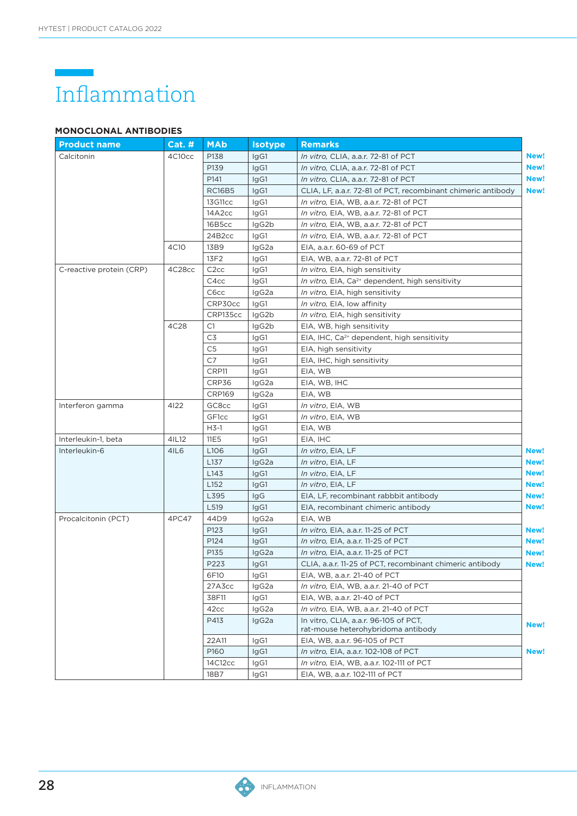# Inflammation

### **MONOCLONAL ANTIBODIES**

| <b>Product name</b>      | <b>Cat. #</b> | <b>MAb</b>        | <b>Isotype</b> | <b>Remarks</b>                                                              |      |
|--------------------------|---------------|-------------------|----------------|-----------------------------------------------------------------------------|------|
| Calcitonin               | 4C10cc        | P138              | IgG1           | In vitro, CLIA, a.a.r. 72-81 of PCT                                         | New! |
|                          |               | P139              | IgG1           | In vitro, CLIA, a.a.r. 72-81 of PCT                                         | New! |
|                          |               | P141              | IgG1           | In vitro, CLIA, a.a.r. 72-81 of PCT                                         | New! |
|                          |               | <b>RC16B5</b>     | IgG1           | CLIA, LF, a.a.r. 72-81 of PCT, recombinant chimeric antibody                | New! |
|                          |               | 13G11cc           | IgG1           | In vitro, EIA, WB, a.a.r. 72-81 of PCT                                      |      |
|                          |               | 14A2cc            | IgG1           | In vitro, EIA, WB, a.a.r. 72-81 of PCT                                      |      |
|                          |               | 16B5cc            | lgG2b          | In vitro, EIA, WB, a.a.r. 72-81 of PCT                                      |      |
|                          |               | 24B2cc            | IgG1           | In vitro, EIA, WB, a.a.r. 72-81 of PCT                                      |      |
|                          | 4C10          | 13B9              | lgG2a          | EIA, a.a.r. 60-69 of PCT                                                    |      |
|                          |               | 13F2              | IgG1           | EIA, WB, a.a.r. 72-81 of PCT                                                |      |
| C-reactive protein (CRP) | 4C28cc        | C <sub>2cc</sub>  | IgG1           | In vitro, EIA, high sensitivity                                             |      |
|                          |               | C4cc              | IgG1           | In vitro, EIA, Ca <sup>2+</sup> dependent, high sensitivity                 |      |
|                          |               | C6cc              | lgG2a          | In vitro, EIA, high sensitivity                                             |      |
|                          |               | CRP30cc           | IgG1           | In vitro, EIA, low affinity                                                 |      |
|                          |               | CRP135cc          | lgG2b          | In vitro, EIA, high sensitivity                                             |      |
|                          | 4C28          | C1                | lgG2b          | EIA, WB, high sensitivity                                                   |      |
|                          |               | C3                | IgG1           | EIA, IHC, Ca <sup>2+</sup> dependent, high sensitivity                      |      |
|                          |               | C <sub>5</sub>    | IgG1           | EIA, high sensitivity                                                       |      |
|                          |               | C7                | IgG1           | EIA, IHC, high sensitivity                                                  |      |
|                          |               | CRP11             | IgG1           | EIA, WB                                                                     |      |
|                          |               | CRP36             | IgG2a          | EIA, WB, IHC                                                                |      |
|                          |               | <b>CRP169</b>     | lgG2a          | EIA, WB                                                                     |      |
| Interferon gamma         | 4122          | GC8cc             | IgG1           | In vitro, EIA, WB                                                           |      |
|                          |               | GF <sub>1cc</sub> | IgG1           | In vitro, EIA, WB                                                           |      |
|                          |               | $H3-1$            | IgG1           | EIA, WB                                                                     |      |
| Interleukin-1, beta      | 41L12         | 11E <sub>5</sub>  | IgG1           | EIA, IHC                                                                    |      |
| Interleukin-6            | 4IL6          | L106              | IgG1           | <i>In vitro</i> , EIA, LF                                                   | New! |
|                          |               | L137              | IgG2a          | <i>In vitro</i> , EIA, LF                                                   | New! |
|                          |               | L143              | IgG1           | In vitro, EIA, LF                                                           | New! |
|                          |               | L <sub>152</sub>  | IgG1           | In vitro, EIA, LF                                                           | New! |
|                          |               | L395              | <b>IgG</b>     | EIA, LF, recombinant rabbbit antibody                                       | New! |
|                          |               | L519              | IgG1           | EIA, recombinant chimeric antibody                                          | New! |
| Procalcitonin (PCT)      | 4PC47         | 44D9              | lgG2a          | EIA, WB                                                                     |      |
|                          |               | P123              | IgG1           | In vitro, EIA, a.a.r. 11-25 of PCT                                          | New! |
|                          |               | P124              | IgG1           | In vitro, EIA, a.a.r. 11-25 of PCT                                          | New! |
|                          |               | P135              | IgG2a          | In vitro, EIA, a.a.r. 11-25 of PCT                                          | New! |
|                          |               | P223              | IgG1           | CLIA, a.a.r. 11-25 of PCT, recombinant chimeric antibody                    | New! |
|                          |               | 6F10              | IgG1           | EIA, WB, a.a.r. 21-40 of PCT                                                |      |
|                          |               | 27A3cc            | IgG2a          | In vitro, EIA, WB, a.a.r. 21-40 of PCT                                      |      |
|                          |               | 38F11             | IgG1           | EIA, WB, a.a.r. 21-40 of PCT                                                |      |
|                          |               | 42cc              | lgG2a          | In vitro, EIA, WB, a.a.r. 21-40 of PCT                                      |      |
|                          |               | P413              | IgG2a          | In vitro, CLIA, a.a.r. 96-105 of PCT,<br>rat-mouse heterohybridoma antibody | New! |
|                          |               | 22A11             | IgG1           | EIA, WB, a.a.r. 96-105 of PCT                                               |      |
|                          |               | P160              | IgG1           | In vitro, EIA, a.a.r. 102-108 of PCT                                        | New! |
|                          |               | 14C12cc           | IgG1           | In vitro, EIA, WB, a.a.r. 102-111 of PCT                                    |      |
|                          |               | 18B7              | IgG1           | EIA, WB, a.a.r. 102-111 of PCT                                              |      |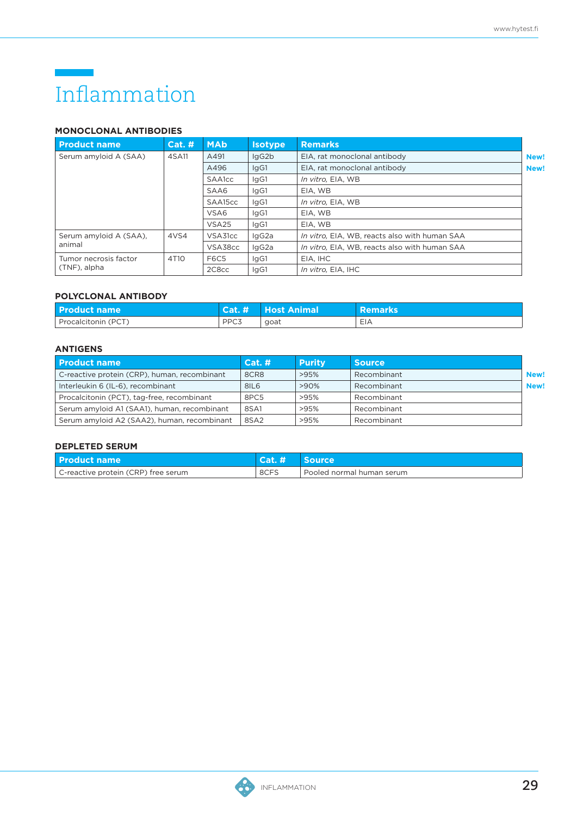### Inflammation

### **MONOCLONAL ANTIBODIES**

| <b>Product name</b>    | $Cat.$ #         | <b>MAb</b>        | <b>Remarks</b><br><b>Isotype</b> |                                               |      |
|------------------------|------------------|-------------------|----------------------------------|-----------------------------------------------|------|
| Serum amyloid A (SAA)  | 4SA11            | A491              | lgG <sub>2</sub> b               | EIA, rat monoclonal antibody                  | New! |
|                        |                  | A496              | IgG1                             | EIA, rat monoclonal antibody                  | New! |
|                        |                  | <b>SAA1cc</b>     | lgG1                             | In vitro, EIA, WB                             |      |
|                        |                  | SAA6              | lgG1                             | EIA, WB                                       |      |
|                        |                  | SAA15cc           | IgG1                             | In vitro, EIA, WB                             |      |
|                        |                  | VSA6              | laG1                             | EIA, WB                                       |      |
|                        |                  | VSA <sub>25</sub> | laG1                             | EIA, WB                                       |      |
| Serum amyloid A (SAA). | 4VS4             | VSA31cc           | lgG2a                            | In vitro, EIA, WB, reacts also with human SAA |      |
| animal                 |                  | VSA38cc           | lgG2a                            | In vitro. EIA. WB. reacts also with human SAA |      |
| Tumor necrosis factor  | 4T <sub>10</sub> | <b>F6C5</b>       | lgG1                             | EIA, IHC                                      |      |
| (TNF), alpha           |                  | 2C8cc             | lgG1                             | In vitro, EIA, IHC                            |      |

### **POLYCLONAL ANTIBODY**

| <b>Product name</b> |                  | Cat. # Host Animal | <b>Remarks</b> ' |
|---------------------|------------------|--------------------|------------------|
| Procalcitonin (PCT) | PPC <sub>3</sub> | goat               | EIA              |

### **ANTIGENS**

| <b>Product name</b>                          | Cat.#            | <b>Purity</b> | <b>Source</b> |      |
|----------------------------------------------|------------------|---------------|---------------|------|
| C-reactive protein (CRP), human, recombinant | 8CR8             | >95%          | Recombinant   | New! |
| Interleukin 6 (IL-6), recombinant            | 8IL <sub>6</sub> | $>90\%$       | Recombinant   | New! |
| Procalcitonin (PCT), tag-free, recombinant   | 8PC5             | >95%          | Recombinant   |      |
| Serum amyloid A1 (SAA1), human, recombinant  | 8SA1             | >95%          | Recombinant   |      |
| Serum amyloid A2 (SAA2), human, recombinant  | 8SA2             | >95%          | Recombinant   |      |

| <b>Product name</b>                 | <b>Cat.#4</b> | <i><b>Source</b></i>        |
|-------------------------------------|---------------|-----------------------------|
| C-reactive protein (CRP) free serum | 8CFS          | . Pooled normal human serum |

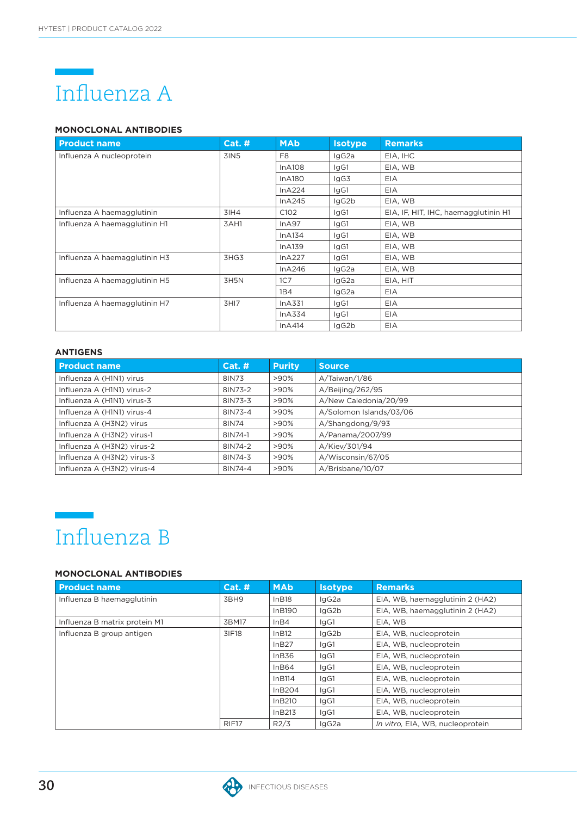

### **MONOCLONAL ANTIBODIES**

| <b>Product name</b>           | Cat.# | <b>MAb</b>       | <b>Isotype</b> | <b>Remarks</b>                       |
|-------------------------------|-------|------------------|----------------|--------------------------------------|
| Influenza A nucleoprotein     | 3IN5  | F <sub>8</sub>   | IgG2a          | EIA, IHC                             |
|                               |       | InA108           | lgG1           | EIA, WB                              |
|                               |       | InA180           | lgG3           | EIA                                  |
|                               |       | InA224           | lgG1           | EIA                                  |
|                               |       | InA245           | lgG2b          | EIA, WB                              |
| Influenza A haemagglutinin    | 31H4  | C <sub>102</sub> | lgG1           | EIA, IF, HIT, IHC, haemagglutinin H1 |
| Influenza A haemagglutinin H1 | 3AH1  | InA97            | lgG1           | EIA, WB                              |
|                               |       | InA134           | lgG1           | EIA, WB                              |
|                               |       | InA139           | lgG1           | EIA, WB                              |
| Influenza A haemagglutinin H3 | 3HG3  | InA227           | lgG1           | EIA, WB                              |
|                               |       | InA246           | lgG2a          | EIA, WB                              |
| Influenza A haemagglutinin H5 | 3H5N  | 1C7              | IgG2a          | EIA, HIT                             |
|                               |       | 1B4              | lgG2a          | EIA                                  |
| Influenza A haemagglutinin H7 | 3HI7  | InA331           | lgG1           | EIA                                  |
|                               |       | InA334           | lgG1           | EIA                                  |
|                               |       | InA414           | lgG2b          | EIA                                  |

### **ANTIGENS**

| <b>Product name</b>        | Cat. #  | <b>Purity</b> | <b>Source</b>           |
|----------------------------|---------|---------------|-------------------------|
| Influenza A (H1N1) virus   | 8IN73   | $>90\%$       | A/Taiwan/1/86           |
| Influenza A (H1N1) virus-2 | 8IN73-2 | $>90\%$       | A/Beijing/262/95        |
| Influenza A (H1N1) virus-3 | 8IN73-3 | >90%          | A/New Caledonia/20/99   |
| Influenza A (H1N1) virus-4 | 8IN73-4 | >90%          | A/Solomon Islands/03/06 |
| Influenza A (H3N2) virus   | 8IN74   | >90%          | A/Shangdong/9/93        |
| Influenza A (H3N2) virus-1 | 8IN74-1 | >90%          | A/Panama/2007/99        |
| Influenza A (H3N2) virus-2 | 8IN74-2 | $>90\%$       | A/Kiev/301/94           |
| Influenza A (H3N2) virus-3 | 8IN74-3 | >90%          | A/Wisconsin/67/05       |
| Influenza A (H3N2) virus-4 | 8IN74-4 | $>90\%$       | A/Brisbane/10/07        |



### **MONOCLONAL ANTIBODIES**

| <b>Product name</b>           | <b>Cat. #</b>     | <b>MAb</b> | <b>Isotype</b> | <b>Remarks</b>                   |
|-------------------------------|-------------------|------------|----------------|----------------------------------|
| Influenza B haemagglutinin    | 3BH9              | InB18      | IgG2a          | EIA, WB, haemagglutinin 2 (HA2)  |
|                               |                   | InB190     | lgG2b          | EIA, WB, haemagglutinin 2 (HA2)  |
| Influenza B matrix protein M1 | 3BM17             | InB4       | lgG1           | EIA, WB                          |
| Influenza B group antigen     | 3IF18             | InB12      | lgG2b          | EIA, WB, nucleoprotein           |
|                               |                   | InB27      | IgG1           | EIA, WB, nucleoprotein           |
|                               |                   | InB36      | IgG1           | EIA, WB, nucleoprotein           |
|                               |                   | In B64     | IgG1           | EIA, WB, nucleoprotein           |
|                               |                   | InB114     | IgG1           | EIA, WB, nucleoprotein           |
|                               |                   | In B2O4    | lgG1           | EIA, WB, nucleoprotein           |
|                               |                   | InB210     | IgG1           | EIA, WB, nucleoprotein           |
|                               |                   | In B213    | lgG1           | EIA, WB, nucleoprotein           |
|                               | RIF <sub>17</sub> | R2/3       | IgG2a          | In vitro. EIA. WB. nucleoprotein |

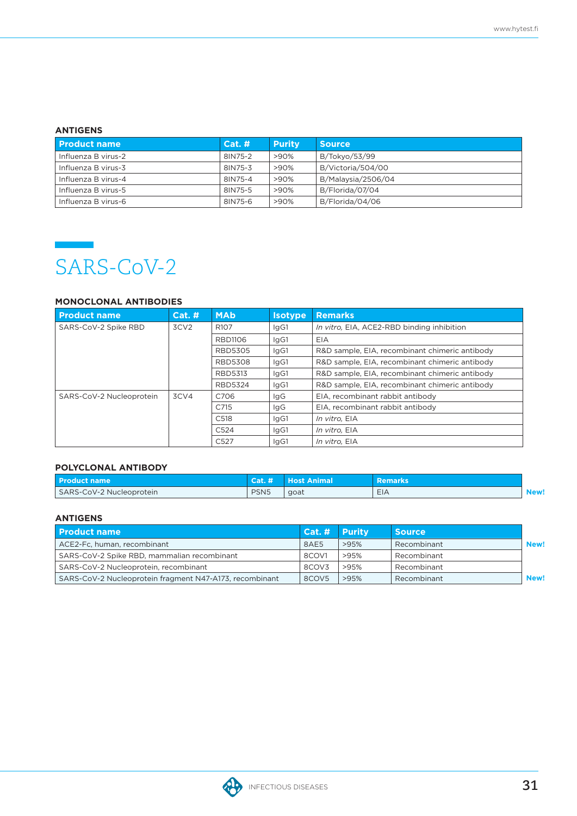### **ANTIGENS**

| <b>Product name</b> | Cat. #  | <b>Purity</b> | <b>Source</b>      |
|---------------------|---------|---------------|--------------------|
| Influenza B virus-2 | 8IN75-2 | $>90\%$       | B/Tokyo/53/99      |
| Influenza B virus-3 | 8IN75-3 | $>90\%$       | B/Victoria/504/00  |
| Influenza B virus-4 | 8IN75-4 | >90%          | B/Malaysia/2506/04 |
| Influenza B virus-5 | 8IN75-5 | >90%          | B/Florida/07/04    |
| Influenza B virus-6 | 8IN75-6 | $>90\%$       | B/Florida/04/06    |



### **MONOCLONAL ANTIBODIES**

| <b>Product name</b>      | Cat. H           | <b>MAb</b>       | <b>Isotype</b> | <b>Remarks</b>                                 |
|--------------------------|------------------|------------------|----------------|------------------------------------------------|
| SARS-CoV-2 Spike RBD     | 3CV <sub>2</sub> | R <sub>107</sub> | lgG1           | In vitro, EIA, ACE2-RBD binding inhibition     |
|                          |                  | <b>RBD1106</b>   | IgG1           | EIA                                            |
|                          |                  | <b>RBD5305</b>   | lgG1           | R&D sample, EIA, recombinant chimeric antibody |
|                          |                  | <b>RBD5308</b>   | lgG1           | R&D sample, EIA, recombinant chimeric antibody |
|                          |                  | <b>RBD5313</b>   | lgG1           | R&D sample, EIA, recombinant chimeric antibody |
|                          |                  | <b>RBD5324</b>   | lgG1           | R&D sample, EIA, recombinant chimeric antibody |
| SARS-CoV-2 Nucleoprotein | 3CV4             | C706             | lgG            | EIA, recombinant rabbit antibody               |
|                          |                  | C715             | lgG            | EIA, recombinant rabbit antibody               |
|                          |                  | C <sub>518</sub> | IgG1           | In vitro. EIA                                  |
|                          |                  | C <sub>524</sub> | IgG1           | In vitro, EIA                                  |
|                          |                  | C <sub>527</sub> | IgG1           | In vitro. EIA                                  |

### **POLYCLONAL ANTIBODY**

| <b>Product name</b>      | Cat. #           | <b>Host Animal</b> | <b>Remarks</b> |     |
|--------------------------|------------------|--------------------|----------------|-----|
| SARS-CoV-2 Nucleoprotein | PSN <sub>5</sub> | goat               | EIA            | New |

| <b>Product name</b>                                     | Cat. # Purity     |      | <b>Source</b> |      |
|---------------------------------------------------------|-------------------|------|---------------|------|
| ACE2-Fc, human, recombinant                             | 8AE5              | >95% | Recombinant   | New! |
| SARS-CoV-2 Spike RBD, mammalian recombinant             | 8COV1             | >95% | Recombinant   |      |
| SARS-CoV-2 Nucleoprotein, recombinant                   | 8COV <sub>3</sub> | >95% | Recombinant   |      |
| SARS-CoV-2 Nucleoprotein fragment N47-A173, recombinant | 8COV5             | >95% | Recombinant   | New! |

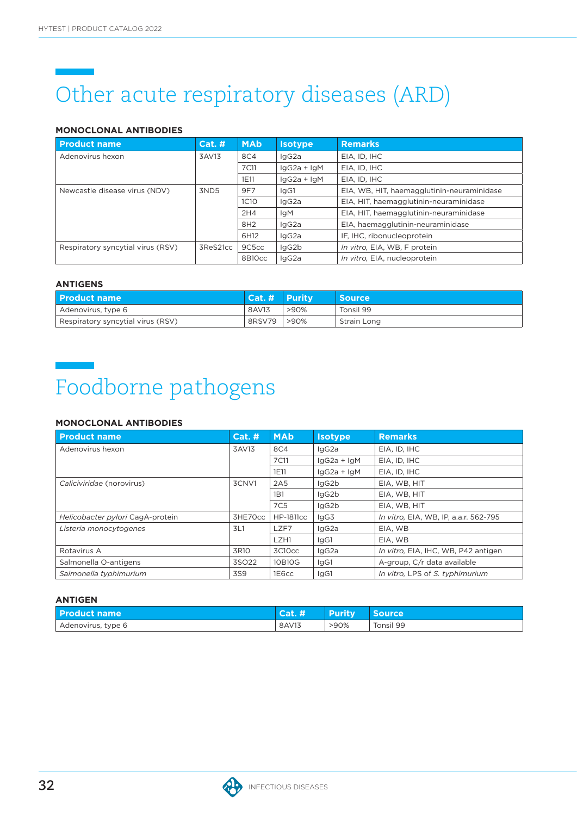# Other acute respiratory diseases (ARD)

### **MONOCLONAL ANTIBODIES**

| <b>Product name</b>               | <b>Cat. #</b> | <b>MAb</b>  | <b>Isotype</b> | <b>Remarks</b>                             |
|-----------------------------------|---------------|-------------|----------------|--------------------------------------------|
| Adenovirus hexon                  | 3AV13         | 8C4         | lgG2a          | EIA, ID, IHC                               |
|                                   |               | 7C11        | $lgG2a + lgM$  | EIA, ID, IHC                               |
|                                   |               | 1E11        | $lgG2a + lgM$  | EIA. ID. IHC                               |
| Newcastle disease virus (NDV)     | 3ND5          | 9F7         | lgG1           | EIA, WB, HIT, haemagglutinin-neuraminidase |
|                                   |               | <b>1C10</b> | lgG2a          | EIA, HIT, haemagglutinin-neuraminidase     |
|                                   |               | 2H4         | <b>IgM</b>     | EIA, HIT, haemagglutinin-neuraminidase     |
|                                   |               | 8H2         | lgG2a          | EIA, haemagglutinin-neuraminidase          |
|                                   |               | 6H12        | lgG2a          | IF, IHC, ribonucleoprotein                 |
| Respiratory syncytial virus (RSV) | 3ReS21cc      | 9C5cc       | lgG2b          | In vitro, EIA, WB, F protein               |
|                                   |               | 8B10cc      | lgG2a          | In vitro, EIA, nucleoprotein               |

### **ANTIGENS**

| l Product name                    | Cat. # Purity |         | <b>Source</b> |
|-----------------------------------|---------------|---------|---------------|
| Adenovirus, type 6                | 8AV13         | >90%    | Tonsil 99     |
| Respiratory syncytial virus (RSV) | 8RSV79        | $>90\%$ | Strain Long   |

## Foodborne pathogens

### **MONOCLONAL ANTIBODIES**

| <b>Product name</b>              | Cat.#   | <b>MAb</b>       | <b>Isotype</b> | <b>Remarks</b>                        |
|----------------------------------|---------|------------------|----------------|---------------------------------------|
| Adenovirus hexon                 | 3AV13   | 8C4              | lgG2a          | EIA. ID. IHC                          |
|                                  |         | 7C11             | $lgG2a + lgM$  | EIA, ID, IHC                          |
|                                  |         | 1E11             | $lgG2a + lgM$  | EIA, ID, IHC                          |
| Caliciviridae (norovirus)        | 3CNV1   | 2A <sub>5</sub>  | IgG2b          | EIA, WB, HIT                          |
|                                  |         | 1 <sub>B</sub> 1 | IgG2b          | EIA, WB, HIT                          |
|                                  |         | 7C <sub>5</sub>  | IgG2b          | EIA, WB, HIT                          |
| Helicobacter pylori CagA-protein | 3HE70cc | <b>HP-1811cc</b> | lgG3           | In vitro, EIA, WB, IP, a.a.r. 562-795 |
| Listeria monocytogenes           | 3L1     | LZF7             | IgG2a          | EIA, WB                               |
|                                  |         | LZH1             | lgG1           | EIA, WB                               |
| Rotavirus A                      | 3R10    | 3C10cc           | IgG2a          | In vitro, EIA, IHC, WB, P42 antigen   |
| Salmonella O-antigens            | 3SO22   | 10B10G           | lgG1           | A-group, C/r data available           |
| Salmonella typhimurium           | 3S9     | 1E6cc            | lgG1           | In vitro, LPS of S. typhimurium       |

| <b>Product name</b> | Gau <del>n</del> | <b>Purity</b> | <b>Source</b> |
|---------------------|------------------|---------------|---------------|
| Adenovirus, type 6  | 8AV13            | >90%          | Tonsil 99     |

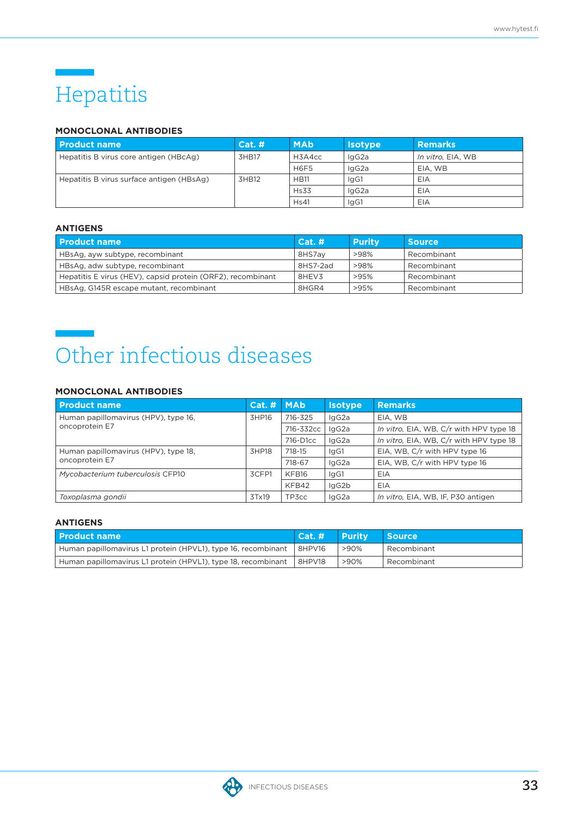### Hepatitis

### **MONOCLONAL ANTIBODIES**

| l Product name                            | Cat.# | <b>MAb</b>  | <b>Isotype</b> | <b>Remarks</b>    |
|-------------------------------------------|-------|-------------|----------------|-------------------|
| Hepatitis B virus core antigen (HBcAg)    | 3HB17 | H3A4cc      | IgG2a          | In vitro, EIA, WB |
|                                           |       | <b>H6F5</b> | IgG2a          | EIA, WB           |
| Hepatitis B virus surface antigen (HBsAg) | 3HB12 | <b>HB11</b> | IgG1           | EIA               |
|                                           |       | <b>Hs33</b> | lgG2a          | EIA               |
|                                           |       | Hs41        | lgG1           | EIA               |

### **ANTIGENS**

| <b>Product name</b>                                         | Cat.#    | <b>Purity</b> | <b>Source</b> |
|-------------------------------------------------------------|----------|---------------|---------------|
| HBsAg, ayw subtype, recombinant                             | 8HS7av   | >98%          | Recombinant   |
| HBsAg, adw subtype, recombinant                             | 8HS7-2ad | >98%          | Recombinant   |
| Hepatitis E virus (HEV), capsid protein (ORF2), recombinant | 8HEV3    | >95%          | Recombinant   |
| HBsAg, G145R escape mutant, recombinant                     | 8HGR4    | >95%          | Recombinant   |

### Other infectious diseases

### **MONOCLONAL ANTIBODIES**

| <b>Product name</b>                                    | Cat. H | <b>MAb</b> | <b>Isotype</b> | <b>Remarks</b>                          |
|--------------------------------------------------------|--------|------------|----------------|-----------------------------------------|
| Human papillomavirus (HPV), type 16,<br>oncoprotein E7 | 3HP16  | 716-325    | IgG2a          | EIA, WB                                 |
|                                                        |        | 716-332cc  | lgG2a          | In vitro, EIA, WB, C/r with HPV type 18 |
|                                                        |        | 716-D1cc   | IgG2a          | In vitro, EIA, WB, C/r with HPV type 18 |
| Human papillomavirus (HPV), type 18,<br>oncoprotein E7 | 3HP18  | 718-15     | IgG1           | EIA, WB, C/r with HPV type 16           |
|                                                        |        | 718-67     | IgG2a          | EIA, WB, C/r with HPV type 16           |
| Mycobacterium tuberculosis CFP10                       | 3CFP1  | KFB16      | IgG1           | EIA                                     |
|                                                        |        | KFB42      | IgG2b          | EIA                                     |
| Toxoplasma gondii                                      | 3Tx19  | TP3cc      | IgG2a          | In vitro, EIA, WB, IF, P30 antigen      |

| l Product name                                                | Cat. # Purity |      | <b>Source</b> |
|---------------------------------------------------------------|---------------|------|---------------|
| Human papillomavirus L1 protein (HPVL1), type 16, recombinant | 8HPV16        | >90% | Recombinant   |
| Human papillomavirus L1 protein (HPVL1), type 18, recombinant | 8HPV18        | >90% | Recombinant   |

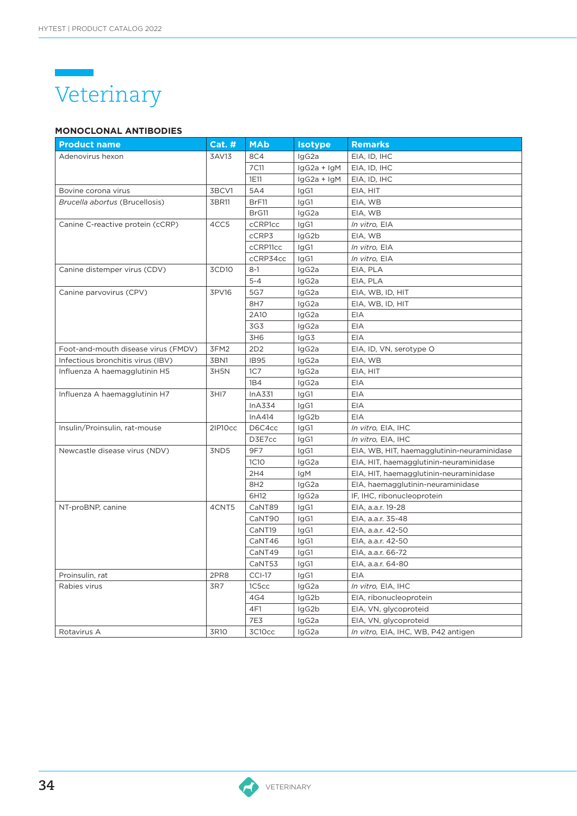

### **MONOCLONAL ANTIBODIES**

| <b>Product name</b>                 | <b>Cat. #</b>     | <b>MAb</b>       | <b>Isotype</b> | <b>Remarks</b>                             |
|-------------------------------------|-------------------|------------------|----------------|--------------------------------------------|
| Adenovirus hexon                    | 3AV13             | 8C4              | IgG2a          | EIA, ID, IHC                               |
|                                     |                   | 7C11             | $lgG2a + lgM$  | EIA, ID, IHC                               |
|                                     |                   | 1E11             | $lgG2a + lgM$  | EIA, ID, IHC                               |
| Bovine corona virus                 | 3BCV1             | 5A4              | IgG1           | EIA, HIT                                   |
| Brucella abortus (Brucellosis)      | 3BR11             | BrF11            | IgG1           | EIA, WB                                    |
|                                     |                   | BrG11            | IgG2a          | EIA, WB                                    |
| Canine C-reactive protein (cCRP)    | 4CC5              | cCRP1cc          | IgG1           | In vitro, EIA                              |
|                                     |                   | cCRP3            | IgG2b          | EIA, WB                                    |
|                                     |                   | cCRP11cc         | IgG1           | In vitro, EIA                              |
|                                     |                   | cCRP34cc         | IgG1           | In vitro, EIA                              |
| Canine distemper virus (CDV)        | 3CD <sub>10</sub> | $8-1$            | IgG2a          | EIA, PLA                                   |
|                                     |                   | $5 - 4$          | IgG2a          | EIA, PLA                                   |
| Canine parvovirus (CPV)             | 3PV16             | 5G7              | IgG2a          | EIA, WB, ID, HIT                           |
|                                     |                   | 8H7              | IgG2a          | EIA, WB, ID, HIT                           |
|                                     |                   | 2A10             | lgG2a          | <b>EIA</b>                                 |
|                                     |                   | 3G3              | IgG2a          | <b>EIA</b>                                 |
|                                     |                   | 3H6              | IgG3           | EIA                                        |
| Foot-and-mouth disease virus (FMDV) | 3FM2              | 2D2              | IgG2a          | EIA, ID, VN, serotype O                    |
| Infectious bronchitis virus (IBV)   | 3BN1              | <b>IB95</b>      | lgG2a          | EIA, WB                                    |
| Influenza A haemagglutinin H5       | 3H5N              | 1C <sub>7</sub>  | IgG2a          | EIA, HIT                                   |
|                                     |                   | 1B4              | IgG2a          | EIA                                        |
| Influenza A haemagglutinin H7       | 3HI7              | InA331           | IgG1           | EIA                                        |
|                                     |                   | InA334           | IgG1           | EIA                                        |
|                                     |                   | InA414           | IgG2b          | EIA                                        |
| Insulin/Proinsulin, rat-mouse       | 2IP10cc           | D6C4cc           | IgG1           | In vitro, EIA, IHC                         |
|                                     |                   | D3E7cc           | IgG1           | In vitro, EIA, IHC                         |
| Newcastle disease virus (NDV)       | 3ND5              | 9F7              | IgG1           | EIA, WB, HIT, haemagglutinin-neuraminidase |
|                                     |                   | 1C <sub>10</sub> | IgG2a          | EIA, HIT, haemagglutinin-neuraminidase     |
|                                     |                   | 2H4              | IgM            | EIA, HIT, haemagglutinin-neuraminidase     |
|                                     |                   | 8H <sub>2</sub>  | IgG2a          | EIA, haemagglutinin-neuraminidase          |
|                                     |                   | 6H12             | IgG2a          | IF, IHC, ribonucleoprotein                 |
| NT-proBNP, canine                   | 4CNT5             | CaNT89           | IgG1           | EIA, a.a.r. 19-28                          |
|                                     |                   | CaNT90           | IgG1           | EIA, a.a.r. 35-48                          |
|                                     |                   | CaNT19           | IgG1           | EIA, a.a.r. 42-50                          |
|                                     |                   | CaNT46           | IgG1           | EIA, a.a.r. 42-50                          |
|                                     |                   | CaNT49           | IgG1           | EIA, a.a.r. 66-72                          |
|                                     |                   | CaNT53           | IgG1           | EIA, a.a.r. 64-80                          |
| Proinsulin, rat                     | 2PR8              | <b>CCI-17</b>    | IgG1           | EIA                                        |
| Rabies virus                        | 3R7               | 1C5cc            | IgG2a          | In vitro, EIA, IHC                         |
|                                     |                   | 4G4              | IgG2b          | EIA, ribonucleoprotein                     |
|                                     |                   | 4F1              | IgG2b          | EIA, VN, glycoproteid                      |
|                                     |                   | 7E3              | IgG2a          | EIA, VN, glycoproteid                      |
| Rotavirus A                         | 3R10              | 3C10cc           | IgG2a          | In vitro, EIA, IHC, WB, P42 antigen        |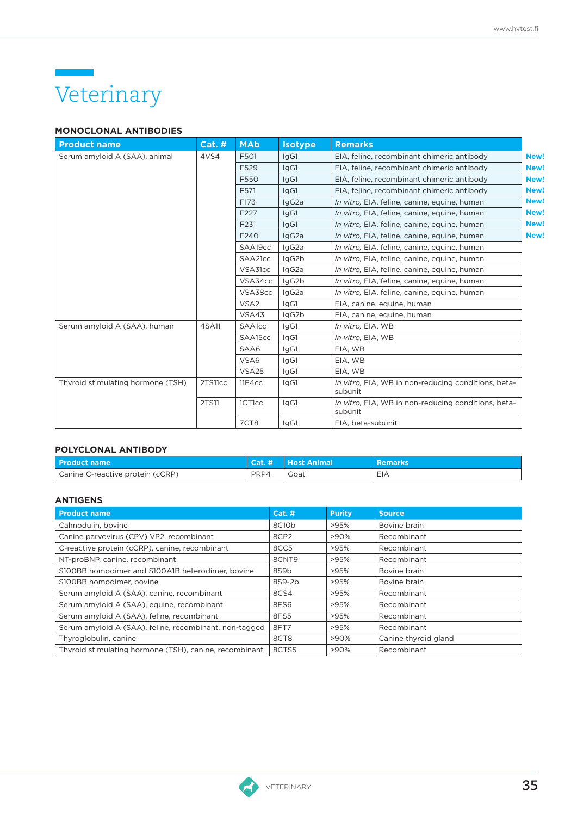## Veterinary

### **MONOCLONAL ANTIBODIES**

| <b>Product name</b>               | Cat.#   | <b>MAb</b>       | <b>Isotype</b> | <b>Remarks</b>                                                 |
|-----------------------------------|---------|------------------|----------------|----------------------------------------------------------------|
| Serum amyloid A (SAA), animal     | 4VS4    | F501             | laG1           | EIA, feline, recombinant chimeric antibody<br><b>New!</b>      |
|                                   |         | F529             | laG1           | EIA, feline, recombinant chimeric antibody<br><b>New!</b>      |
|                                   |         | F550             | IgG1           | EIA, feline, recombinant chimeric antibody<br><b>New!</b>      |
|                                   |         | F571             | IgG1           | EIA, feline, recombinant chimeric antibody<br><b>New!</b>      |
|                                   |         | F173             | IgG2a          | <b>New!</b><br>In vitro, EIA, feline, canine, equine, human    |
|                                   |         | F <sub>227</sub> | IgG1           | <b>New!</b><br>In vitro, EIA, feline, canine, equine, human    |
|                                   |         | F231             | IgG1           | <b>New!</b><br>In vitro, EIA, feline, canine, equine, human    |
|                                   |         | F240             | IgG2a          | <b>New!</b><br>In vitro, EIA, feline, canine, equine, human    |
|                                   |         | SAA19cc          | lgG2a          | In vitro, EIA, feline, canine, equine, human                   |
|                                   |         | SAA21cc          | IgG2b          | In vitro, EIA, feline, canine, equine, human                   |
|                                   |         | VSA31cc          | IgG2a          | In vitro, EIA, feline, canine, equine, human                   |
|                                   |         | VSA34cc          | IgG2b          | In vitro, EIA, feline, canine, equine, human                   |
|                                   |         | VSA38cc          | IgG2a          | In vitro, EIA, feline, canine, equine, human                   |
|                                   |         | VSA <sub>2</sub> | IgG1           | EIA, canine, equine, human                                     |
|                                   |         | VSA43            | IgG2b          | EIA, canine, equine, human                                     |
| Serum amyloid A (SAA), human      | 4SA11   | <b>SAA1cc</b>    | IgG1           | In vitro, EIA, WB                                              |
|                                   |         | SAA15cc          | IgG1           | In vitro, EIA, WB                                              |
|                                   |         | SAA6             | IgG1           | EIA, WB                                                        |
|                                   |         | VSA6             | IgG1           | EIA, WB                                                        |
|                                   |         | <b>VSA25</b>     | IgG1           | EIA, WB                                                        |
| Thyroid stimulating hormone (TSH) | 2TS11cc | 11E4cc           | IgG1           | In vitro, EIA, WB in non-reducing conditions, beta-<br>subunit |
|                                   | 2TS11   | 1CT1cc           | IgG1           | In vitro, EIA, WB in non-reducing conditions, beta-<br>subunit |
|                                   |         | 7CT8             | IgG1           | EIA, beta-subunit                                              |

### **POLYCLONAL ANTIBODY**

| <b>Product name</b>              |      | Cat. # Host Animal | <b>Remarks</b> |
|----------------------------------|------|--------------------|----------------|
| Canine C-reactive protein (cCRP) | PRP4 | Goat               | EIA            |

| <b>Product name</b>                                    | Cat.#            | <b>Purity</b> | <b>Source</b>        |
|--------------------------------------------------------|------------------|---------------|----------------------|
| Calmodulin, bovine                                     | 8C10b            | >95%          | Bovine brain         |
| Canine parvovirus (CPV) VP2, recombinant               | 8CP <sub>2</sub> | >90%          | Recombinant          |
| C-reactive protein (cCRP), canine, recombinant         | 8CC5             | >95%          | Recombinant          |
| NT-proBNP, canine, recombinant                         | 8CNT9            | >95%          | Recombinant          |
| S100BB homodimer and S100A1B heterodimer, bovine       | 8S9b             | >95%          | Bovine brain         |
| S100BB homodimer, bovine                               | 8S9-2b           | >95%          | Bovine brain         |
| Serum amyloid A (SAA), canine, recombinant             | 8CS4             | >95%          | Recombinant          |
| Serum amyloid A (SAA), equine, recombinant             | 8ES6             | >95%          | Recombinant          |
| Serum amyloid A (SAA), feline, recombinant             | 8FS5             | >95%          | Recombinant          |
| Serum amyloid A (SAA), feline, recombinant, non-tagged | 8FT7             | >95%          | Recombinant          |
| Thyroglobulin, canine                                  | 8CT8             | $>90\%$       | Canine thyroid gland |
| Thyroid stimulating hormone (TSH), canine, recombinant | 8CTS5            | $>90\%$       | Recombinant          |

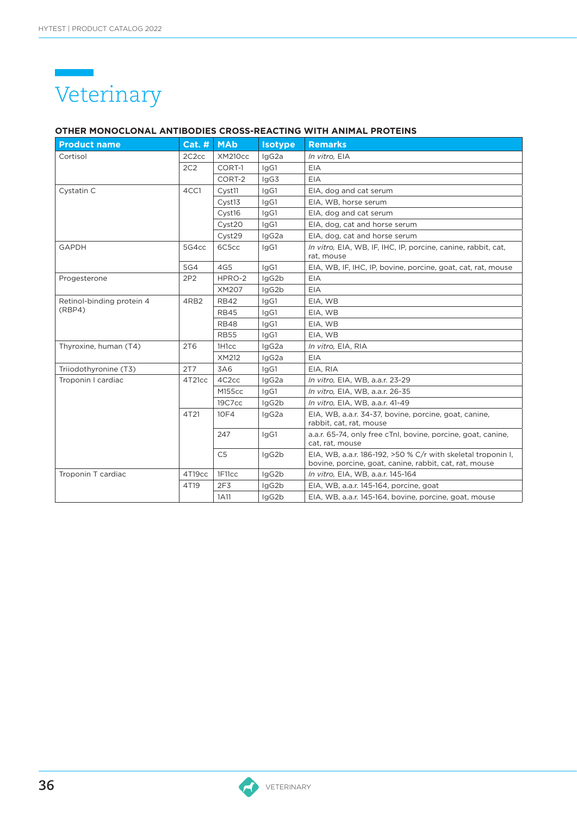

### **OTHER MONOCLONAL ANTIBODIES CROSS-REACTING WITH ANIMAL PROTEINS**

| <b>Product name</b>       | $Cat.$ #           | <b>MAb</b>         | <b>Isotype</b> | <b>Remarks</b>                                                                                                         |
|---------------------------|--------------------|--------------------|----------------|------------------------------------------------------------------------------------------------------------------------|
| Cortisol                  | 2C <sub>2</sub> cc | <b>XM210cc</b>     | IgG2a          | In vitro, EIA                                                                                                          |
|                           | 2C2                | CORT-1             | IgG1           | <b>EIA</b>                                                                                                             |
|                           |                    | CORT-2             | lgG3           | <b>EIA</b>                                                                                                             |
| Cystatin C                | 4CC1               | Cyst11             | IgG1           | EIA, dog and cat serum                                                                                                 |
|                           |                    | Cyst13             | IgG1           | EIA, WB, horse serum                                                                                                   |
|                           |                    | Cyst16             | IgG1           | EIA, dog and cat serum                                                                                                 |
|                           |                    | Cyst20             | IgG1           | EIA, dog, cat and horse serum                                                                                          |
|                           |                    | Cyst29             | lgG2a          | EIA, dog, cat and horse serum                                                                                          |
| <b>GAPDH</b>              | 5G4cc              | 6C5cc              | IgG1           | In vitro, EIA, WB, IF, IHC, IP, porcine, canine, rabbit, cat,<br>rat, mouse                                            |
|                           | 5G4                | 4G5                | IgG1           | EIA, WB, IF, IHC, IP, bovine, porcine, goat, cat, rat, mouse                                                           |
| Progesterone              | 2P2                | HPRO-2             | IgG2b          | <b>EIA</b>                                                                                                             |
|                           |                    | XM207              | lgG2b          | <b>EIA</b>                                                                                                             |
| Retinol-binding protein 4 | 4RB2               | <b>RB42</b>        | IgG1           | EIA, WB                                                                                                                |
| (RBP4)                    |                    | <b>RB45</b>        | IgG1           | EIA, WB                                                                                                                |
|                           |                    | <b>RB48</b>        | lgG1           | EIA, WB                                                                                                                |
|                           |                    | <b>RB55</b>        | IgG1           | EIA, WB                                                                                                                |
| Thyroxine, human (T4)     | 2T <sub>6</sub>    | 1H <sub>1</sub> cc | IgG2a          | In vitro, EIA, RIA                                                                                                     |
|                           |                    | XM212              | IgG2a          | <b>EIA</b>                                                                                                             |
| Triiodothyronine (T3)     | 2T7                | 3A6                | IgG1           | EIA, RIA                                                                                                               |
| Troponin I cardiac        | 4T21cc             | 4C <sub>2cc</sub>  | IgG2a          | In vitro, EIA, WB, a.a.r. 23-29                                                                                        |
|                           |                    | M155cc             | lgG1           | In vitro, EIA, WB, a.a.r. 26-35                                                                                        |
|                           |                    | 19C7cc             | lgG2b          | In vitro, EIA, WB, a.a.r. 41-49                                                                                        |
|                           | 4T21               | 10F4               | IgG2a          | EIA, WB, a.a.r. 34-37, bovine, porcine, goat, canine,<br>rabbit, cat, rat, mouse                                       |
|                           |                    | 247                | IgG1           | a.a.r. 65-74, only free cTnl, bovine, porcine, goat, canine,<br>cat, rat, mouse                                        |
|                           |                    | C <sub>5</sub>     | IgG2b          | EIA, WB, a.a.r. 186-192, >50 % C/r with skeletal troponin I,<br>bovine, porcine, goat, canine, rabbit, cat, rat, mouse |
| Troponin T cardiac        | 4T19cc             | 1F11cc             | IgG2b          | In vitro, EIA, WB, a.a.r. 145-164                                                                                      |
|                           | 4T19               | 2F <sub>3</sub>    | IgG2b          | EIA, WB, a.a.r. 145-164, porcine, goat                                                                                 |
|                           |                    | 1A11               | IgG2b          | EIA, WB, a.a.r. 145-164, bovine, porcine, goat, mouse                                                                  |

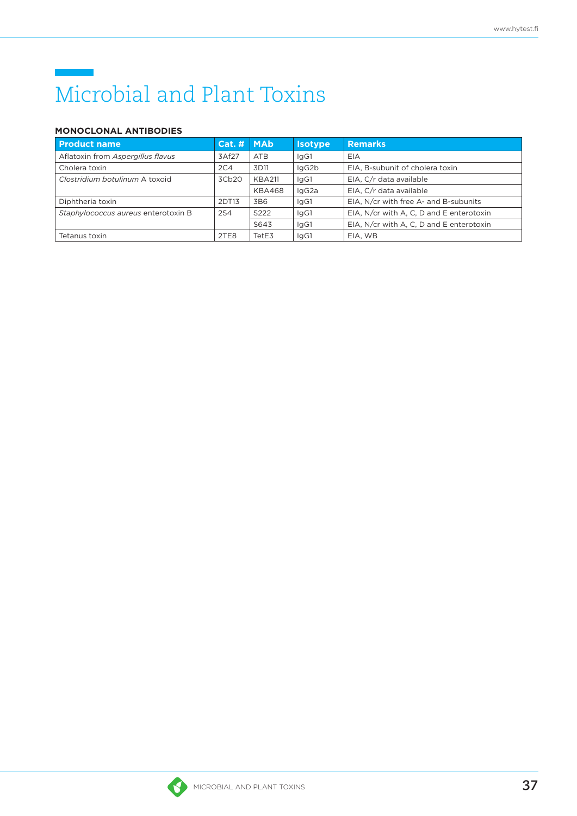## Microbial and Plant Toxins

### **MONOCLONAL ANTIBODIES**

| <b>Product name</b>                 | Cat. # | <b>MAb</b>      | <b>Isotype</b> | <b>Remarks</b>                           |
|-------------------------------------|--------|-----------------|----------------|------------------------------------------|
| Aflatoxin from Aspergillus flavus   | 3Af27  | <b>ATB</b>      | IgG1           | EIA                                      |
| Cholera toxin                       | 2C4    | 3D11            | IgG2b          | EIA, B-subunit of cholera toxin          |
| Clostridium botulinum A toxoid      | 3Cb20  | <b>KBA211</b>   | IgG1           | EIA, C/r data available                  |
|                                     |        | <b>KBA468</b>   | IgG2a          | EIA, C/r data available                  |
| Diphtheria toxin                    | 2DT13  | 3B <sub>6</sub> | IgG1           | EIA, N/cr with free A- and B-subunits    |
| Staphylococcus aureus enterotoxin B | 2S4    | S222            | IgG1           | EIA, N/cr with A, C, D and E enterotoxin |
|                                     |        | S643            | IgG1           | EIA, N/cr with A, C, D and E enterotoxin |
| Tetanus toxin                       | 2TE8   | TetE3           | IgG1           | EIA, WB                                  |

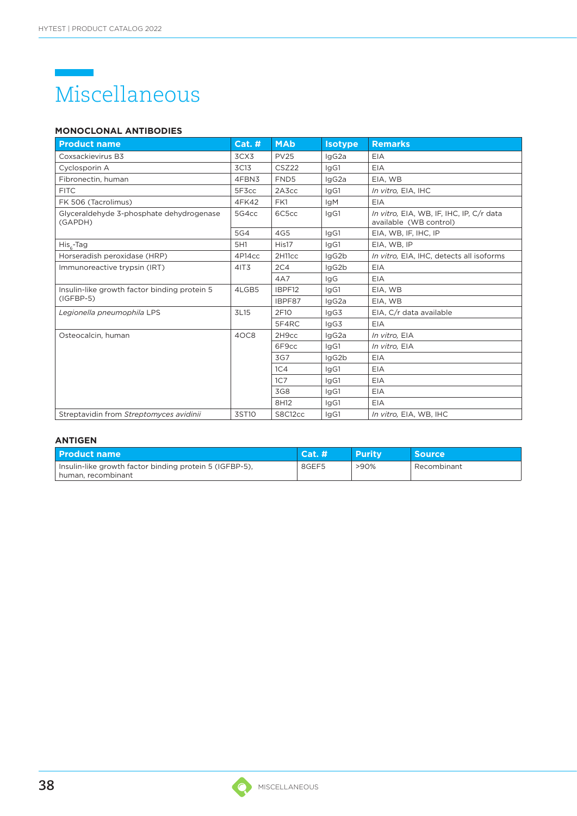### Miscellaneous

### **MONOCLONAL ANTIBODIES**

| <b>Product name</b>                                 | <b>Cat. #</b> | <b>MAb</b>          | <b>Isotype</b> | <b>Remarks</b>                                                     |
|-----------------------------------------------------|---------------|---------------------|----------------|--------------------------------------------------------------------|
| Coxsackievirus B3                                   | 3CX3          | <b>PV25</b>         | IgG2a          | EIA                                                                |
| Cyclosporin A                                       | 3C13          | CSZ22               | IgG1           | EIA                                                                |
| Fibronectin, human                                  | 4FBN3         | FND <sub>5</sub>    | lgG2a          | EIA, WB                                                            |
| <b>FITC</b>                                         | 5F3cc         | 2A3cc               | IgG1           | In vitro, EIA, IHC                                                 |
| FK 506 (Tacrolimus)                                 | 4FK42         | FK1                 | <b>IgM</b>     | EIA                                                                |
| Glyceraldehyde 3-phosphate dehydrogenase<br>(GAPDH) | 5G4cc         | 6C5cc               | IgG1           | In vitro, EIA, WB, IF, IHC, IP, C/r data<br>available (WB control) |
|                                                     | 5G4           | 4G5                 | IgG1           | EIA, WB, IF, IHC, IP                                               |
| $Hisc-Tag$                                          | 5H1           | His17               | IgG1           | EIA, WB, IP                                                        |
| Horseradish peroxidase (HRP)                        | 4P14cc        | 2H <sub>11</sub> cc | lgG2b          | In vitro, EIA, IHC, detects all isoforms                           |
| Immunoreactive trypsin (IRT)                        | 41T3          | 2C4                 | IgG2b          | EIA                                                                |
|                                                     |               | 4A7                 | lgG            | <b>EIA</b>                                                         |
| Insulin-like growth factor binding protein 5        | 4LGB5         | IBPF12              | lgG1           | EIA, WB                                                            |
| $(IGFBP-5)$                                         |               | IBPF87              | lgG2a          | EIA, WB                                                            |
| Legionella pneumophila LPS                          | 3L15          | 2F10                | lgG3           | EIA, C/r data available                                            |
|                                                     |               | 5F4RC               | lgG3           | <b>EIA</b>                                                         |
| Osteocalcin, human                                  | 4OC8          | 2H <sub>9cc</sub>   | IgG2a          | In vitro. EIA                                                      |
|                                                     |               | 6F9cc               | IgG1           | In vitro. EIA                                                      |
|                                                     |               | 3G7                 | lgG2b          | <b>EIA</b>                                                         |
|                                                     |               | 1C <sub>4</sub>     | IgG1           | <b>EIA</b>                                                         |
|                                                     |               | 1C7                 | IgG1           | <b>EIA</b>                                                         |
|                                                     |               | 3G8                 | IgG1           | EIA                                                                |
|                                                     |               | 8H12                | IgG1           | EIA                                                                |
| Streptavidin from Streptomyces avidinii             | 3ST10         | S8C12cc             | IgG1           | In vitro, EIA, WB, IHC                                             |

| <b>Product name</b>                                                             | Cat.# | <b>Purity</b> | Source      |
|---------------------------------------------------------------------------------|-------|---------------|-------------|
| Insulin-like growth factor binding protein 5 (IGFBP-5).<br>I human, recombinant | 8GEF5 | $>90\%$       | Recombinant |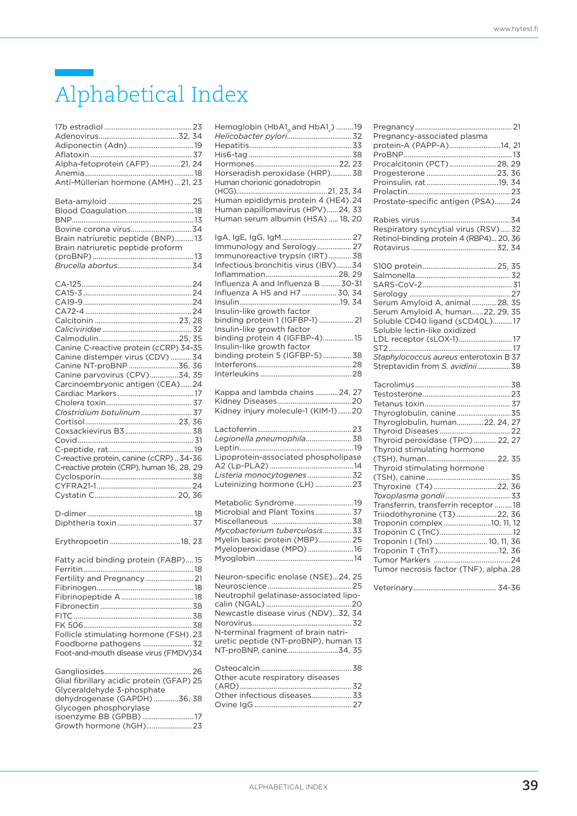### Alphabetical Index

| Alpha-fetoprotein (AFP)21, 24<br>Anti-Müllerian hormone (AMH)21, 23<br>Brain natriuretic peptide (BNP)13<br>Brain natriuretic peptide proform                                                                                                                     |
|-------------------------------------------------------------------------------------------------------------------------------------------------------------------------------------------------------------------------------------------------------------------|
| Canine C-reactive protein (cCRP) 34-35<br>Canine distemper virus (CDV) 34<br>Canine NT-proBNP 36, 36<br>Canine parvovirus (CPV)34, 35<br>Carcinoembryonic antigen (CEA)24<br>C-reactive protein, canine (cCRP)34-36<br>C-reactive protein (CRP), human 16, 28, 29 |
|                                                                                                                                                                                                                                                                   |
| Fatty acid binding protein (FABP)15<br>Fertility and Pregnancy  21<br>Follicle stimulating hormone (FSH).23<br>Foodborne pathogens  32<br>Foot-and-mouth disease virus (FMDV)34                                                                                   |
| Glial fibrillary acidic protein (GFAP) 25<br>Glyceraldehyde 3-phosphate<br>dehydrogenase (GAPDH) 36, 38<br>Glycogen phosphorylase<br>isoenzyme BB (GPBB)  17<br>Growth hormone (hGH) 23                                                                           |

| Hemoglobin (HbA1 <sub>0</sub> and HbA1 <sub>c</sub> ) 19<br>Horseradish peroxidase (HRP) 38<br>Human chorionic gonadotropin<br>Human epididymis protein 4 (HE4).24<br>Human papillomavirus (HPV)24, 33<br>Human serum albumin (HSA)  18, 20                                                                                                                              |
|--------------------------------------------------------------------------------------------------------------------------------------------------------------------------------------------------------------------------------------------------------------------------------------------------------------------------------------------------------------------------|
| Immunology and Serology 27<br>Immunoreactive trypsin (IRT)38<br>Infectious bronchitis virus (IBV)34<br>Influenza A and Influenza B 30-31<br>Influenza A H5 and H7  30, 34<br>Insulin-like growth factor<br>binding protein 1 (IGFBP-1)  21<br>Insulin-like growth factor<br>binding protein 4 (IGFBP-4)15<br>Insulin-like growth factor<br>binding protein 5 (IGFBP-5)38 |
| Kappa and lambda chains  24, 27<br>Kidney injury molecule-1 (KIM-1)20                                                                                                                                                                                                                                                                                                    |
| Legionella pneumophila 38<br>Lipoprotein-associated phospholipase<br>Listeria monocytogenes  32<br>Luteinizing hormone (LH)  23                                                                                                                                                                                                                                          |
| Metabolic Syndrome19<br>Microbial and Plant Toxins 37<br>Mycobacterium tuberculosis 33<br>Myelin basic protein (MBP) 25<br>Myeloperoxidase (MPO)16                                                                                                                                                                                                                       |
| Neuron-specific enolase (NSE)24, 25<br>Neutrophil gelatinase-associated lipo-<br>Newcastle disease virus (NDV)32, 34<br>N-terminal fragment of brain natri-<br>uretic peptide (NT-proBNP), human 13<br>NT-proBNP, canine34, 35                                                                                                                                           |
| Other acute respiratory diseases<br>Other infectious diseases 33                                                                                                                                                                                                                                                                                                         |

| Pregnancy-associated plasma<br>protein-A (PAPP-A)14, 21        |
|----------------------------------------------------------------|
|                                                                |
| Procalcitonin (PCT)28, 29                                      |
|                                                                |
|                                                                |
|                                                                |
| Prostate-specific antigen (PSA)24                              |
|                                                                |
| Respiratory syncytial virus (RSV) 32                           |
| Retinol-binding protein 4 (RBP4) 20, 36                        |
|                                                                |
|                                                                |
|                                                                |
|                                                                |
|                                                                |
| Serum Amyloid A, animal 28, 35                                 |
| Serum Amyloid A, human22, 29, 35                               |
| Soluble CD40 ligand (sCD40L)17<br>Soluble lectin-like oxidized |
| LDL receptor (sLOX-1) 17                                       |
|                                                                |
| Staphylococcus aureus enterotoxin B 37                         |
| Streptavidin from S. avidinii 38                               |
|                                                                |
|                                                                |
|                                                                |
| Thyroglobulin, canine 35                                       |
| Thyroglobulin, human22, 24, 27                                 |
|                                                                |
| Thyroid peroxidase (TPO)  22, 27                               |
| Thyroid stimulating hormone                                    |
| Thyroid stimulating hormone                                    |
|                                                                |
| Thyroxine (T4)22, 36                                           |
|                                                                |
| Transferrin, transferrin receptor 18                           |
| Triiodothyronine (T3) 22, 36                                   |
| Troponin complex 10, 11, 12                                    |
|                                                                |
| Troponin I (TnI)  10, 11, 36<br>Troponin T (TnT)12, 36         |
|                                                                |
| Tumor necrosis factor (TNF), alpha.28                          |
|                                                                |
|                                                                |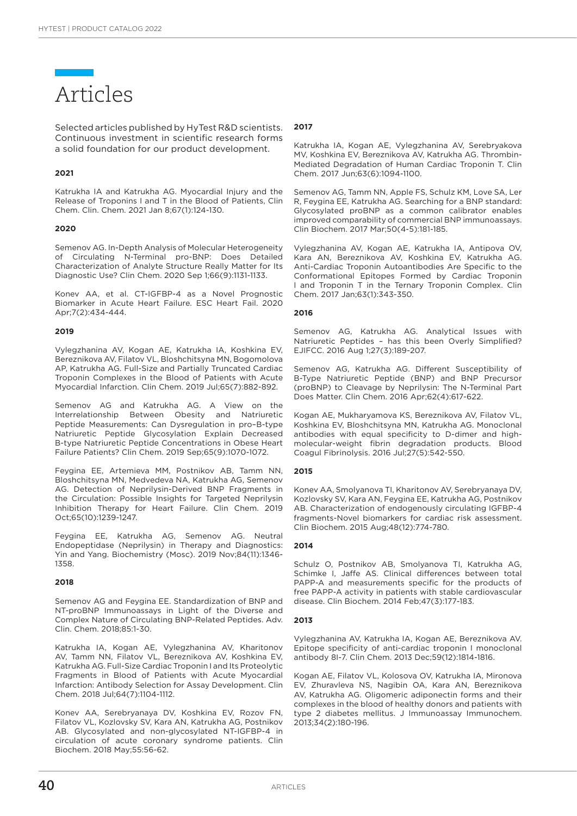### Articles

Selected articles published by HyTest R&D scientists. Continuous investment in scientific research forms a solid foundation for our product development.

#### **2021**

Katrukha IA and Katrukha AG. Myocardial Injury and the Release of Troponins I and T in the Blood of Patients, Clin Chem. Clin. Chem. 2021 Jan 8;67(1):124-130.

#### **2020**

Semenov AG. In-Depth Analysis of Molecular Heterogeneity of Circulating N-Terminal pro-BNP: Does Detailed Characterization of Analyte Structure Really Matter for Its Diagnostic Use? Clin Chem. 2020 Sep 1;66(9):1131-1133.

Konev AA, et al. CT-IGFBP-4 as a Novel Prognostic Biomarker in Acute Heart Failure. ESC Heart Fail. 2020 Apr;7(2):434-444.

### **2019**

Vylegzhanina AV, Kogan AE, Katrukha IA, Koshkina EV, Bereznikova AV, Filatov VL, Bloshchitsyna MN, Bogomolova AP, Katrukha AG. Full-Size and Partially Truncated Cardiac Troponin Complexes in the Blood of Patients with Acute Myocardial Infarction. Clin Chem. 2019 Jul;65(7):882-892.

Semenov AG and Katrukha AG. A View on the Interrelationship Between Obesity and Natriuretic Peptide Measurements: Can Dysregulation in pro–B-type Natriuretic Peptide Glycosylation Explain Decreased B-type Natriuretic Peptide Concentrations in Obese Heart Failure Patients? Clin Chem. 2019 Sep;65(9):1070-1072.

Feygina EE, Artemieva MM, Postnikov AB, Tamm NN, Bloshchitsyna MN, Medvedeva NA, Katrukha AG, Semenov AG. Detection of Neprilysin-Derived BNP Fragments in the Circulation: Possible Insights for Targeted Neprilysin Inhibition Therapy for Heart Failure. Clin Chem. 2019 Oct;65(10):1239-1247.

Feygina EE, Katrukha AG, Semenov AG. Neutral Endopeptidase (Neprilysin) in Therapy and Diagnostics: Yin and Yang. Biochemistry (Mosc). 2019 Nov;84(11):1346- 1358.

#### **2018**

Semenov AG and Feygina EE. Standardization of BNP and NT-proBNP Immunoassays in Light of the Diverse and Complex Nature of Circulating BNP-Related Peptides. Adv. Clin. Chem. 2018;85:1-30.

Katrukha IA, Kogan AE, Vylegzhanina AV, Kharitonov AV, Tamm NN, Filatov VL, Bereznikova AV, Koshkina EV, Katrukha AG. Full-Size Cardiac Troponin I and Its Proteolytic Fragments in Blood of Patients with Acute Myocardial Infarction: Antibody Selection for Assay Development. Clin Chem. 2018 Jul;64(7):1104-1112.

Konev AA, Serebryanaya DV, Koshkina EV, Rozov FN, Filatov VL, Kozlovsky SV, Kara AN, Katrukha AG, Postnikov AB. Glycosylated and non-glycosylated NT-IGFBP-4 in circulation of acute coronary syndrome patients. Clin Biochem. 2018 May;55:56-62.

### **2017**

Katrukha IA, Kogan AE, Vylegzhanina AV, Serebryakova MV, Koshkina EV, Bereznikova AV, Katrukha AG. Thrombin-Mediated Degradation of Human Cardiac Troponin T. Clin Chem. 2017 Jun;63(6):1094-1100.

Semenov AG, Tamm NN, Apple FS, Schulz KM, Love SA, Ler R, Feygina EE, Katrukha AG. Searching for a BNP standard: Glycosylated proBNP as a common calibrator enables improved comparability of commercial BNP immunoassays. Clin Biochem. 2017 Mar;50(4-5):181-185.

Vylegzhanina AV, Kogan AE, Katrukha IA, Antipova OV, Kara AN, Bereznikova AV, Koshkina EV, Katrukha AG. Anti-Cardiac Troponin Autoantibodies Are Specific to the Conformational Epitopes Formed by Cardiac Troponin I and Troponin T in the Ternary Troponin Complex. Clin Chem. 2017 Jan;63(1):343-350.

#### **2016**

Semenov AG, Katrukha AG. Analytical Issues with Natriuretic Peptides – has this been Overly Simplified? EJIFCC. 2016 Aug 1;27(3):189-207.

Semenov AG, Katrukha AG. Different Susceptibility of B-Type Natriuretic Peptide (BNP) and BNP Precursor (proBNP) to Cleavage by Neprilysin: The N-Terminal Part Does Matter. Clin Chem. 2016 Apr;62(4):617-622.

Kogan AE, Mukharyamova KS, Bereznikova AV, Filatov VL, Koshkina EV, Bloshchitsyna MN, Katrukha AG. Monoclonal antibodies with equal specificity to D-dimer and highmolecular-weight fibrin degradation products. Blood Coagul Fibrinolysis. 2016 Jul;27(5):542-550.

#### **2015**

Konev AA, Smolyanova TI, Kharitonov AV, Serebryanaya DV, Kozlovsky SV, Kara AN, Feygina EE, Katrukha AG, Postnikov AB. Characterization of endogenously circulating IGFBP-4 fragments-Novel biomarkers for cardiac risk assessment. Clin Biochem. 2015 Aug;48(12):774-780.

#### **2014**

Schulz O, Postnikov AB, Smolyanova TI, Katrukha AG, Schimke I, Jaffe AS. Clinical differences between total PAPP-A and measurements specific for the products of free PAPP-A activity in patients with stable cardiovascular disease. Clin Biochem. 2014 Feb;47(3):177-183.

#### **2013**

Vylegzhanina AV, Katrukha IA, Kogan AE, Bereznikova AV. Epitope specificity of anti-cardiac troponin I monoclonal antibody 8I-7. Clin Chem. 2013 Dec;59(12):1814-1816.

Kogan AE, Filatov VL, Kolosova OV, Katrukha IA, Mironova EV, Zhuravleva NS, Nagibin OA, Kara AN, Bereznikova AV, Katrukha AG. Oligomeric adiponectin forms and their complexes in the blood of healthy donors and patients with type 2 diabetes mellitus. J Immunoassay Immunochem. 2013;34(2):180-196.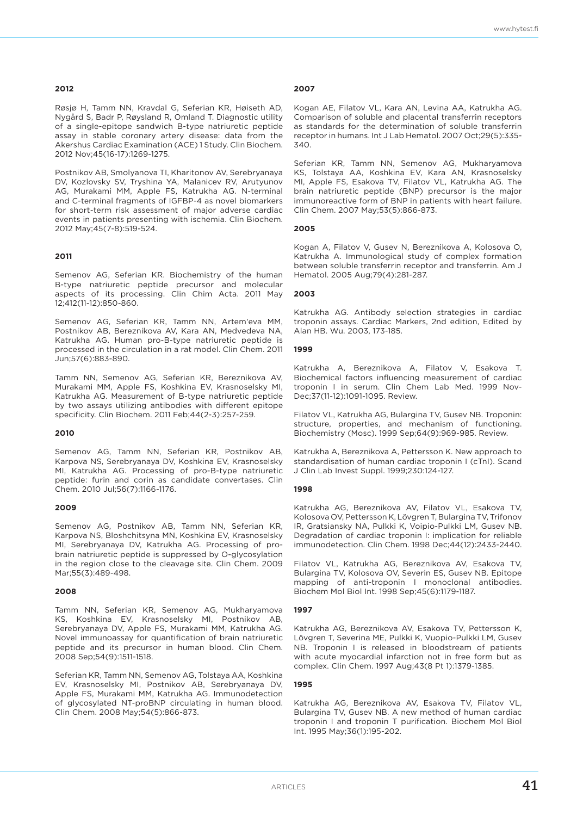#### **2012**

www.hytest.fi

Røsjø H, Tamm NN, Kravdal G, Seferian KR, Høiseth AD, Nygård S, Badr P, Røysland R, Omland T. Diagnostic utility of a single-epitope sandwich B-type natriuretic peptide assay in stable coronary artery disease: data from the Akershus Cardiac Examination (ACE) 1 Study. Clin Biochem. 2012 Nov;45(16-17):1269-1275.

Postnikov AB, Smolyanova TI, Kharitonov AV, Serebryanaya DV, Kozlovsky SV, Tryshina YA, Malanicev RV, Arutyunov AG, Murakami MM, Apple FS, Katrukha AG. N-terminal and C-terminal fragments of IGFBP-4 as novel biomarkers for short-term risk assessment of major adverse cardiac events in patients presenting with ischemia. Clin Biochem. 2012 May;45(7-8):519-524.

### **2011**

Semenov AG, Seferian KR. Biochemistry of the human B-type natriuretic peptide precursor and molecular aspects of its processing. Clin Chim Acta. 2011 May 12;412(11-12):850-860.

Semenov AG, Seferian KR, Tamm NN, Artem'eva MM, Postnikov AB, Bereznikova AV, Kara AN, Medvedeva NA, Katrukha AG. Human pro-B-type natriuretic peptide is processed in the circulation in a rat model. Clin Chem. 2011 Jun;57(6):883-890.

Tamm NN, Semenov AG, Seferian KR, Bereznikova AV, Murakami MM, Apple FS, Koshkina EV, Krasnoselsky MI, Katrukha AG. Measurement of B-type natriuretic peptide by two assays utilizing antibodies with different epitope specificity. Clin Biochem. 2011 Feb;44(2-3):257-259.

#### **2010**

Semenov AG, Tamm NN, Seferian KR, Postnikov AB, Karpova NS, Serebryanaya DV, Koshkina EV, Krasnoselsky MI, Katrukha AG. Processing of pro-B-type natriuretic peptide: furin and corin as candidate convertases. Clin Chem. 2010 Jul;56(7):1166-1176.

#### **2009**

Semenov AG, Postnikov AB, Tamm NN, Seferian KR, Karpova NS, Bloshchitsyna MN, Koshkina EV, Krasnoselsky MI, Serebryanaya DV, Katrukha AG. Processing of probrain natriuretic peptide is suppressed by O-glycosylation in the region close to the cleavage site. Clin Chem. 2009 Mar;55(3):489-498.

#### **2008**

Tamm NN, Seferian KR, Semenov AG, Mukharyamova KS, Koshkina EV, Krasnoselsky MI, Postnikov AB, Serebryanaya DV, Apple FS, Murakami MM, Katrukha AG. Novel immunoassay for quantification of brain natriuretic peptide and its precursor in human blood. Clin Chem. 2008 Sep;54(9):1511-1518.

Seferian KR, Tamm NN, Semenov AG, Tolstaya AA, Koshkina EV, Krasnoselsky MI, Postnikov AB, Serebryanaya DV, Apple FS, Murakami MM, Katrukha AG. Immunodetection of glycosylated NT-proBNP circulating in human blood. Clin Chem. 2008 May;54(5):866-873.

#### **2007**

Kogan AE, Filatov VL, Kara AN, Levina AA, Katrukha AG. Comparison of soluble and placental transferrin receptors as standards for the determination of soluble transferrin receptor in humans. Int J Lab Hematol. 2007 Oct;29(5):335- 340.

Seferian KR, Tamm NN, Semenov AG, Mukharyamova KS, Tolstaya AA, Koshkina EV, Kara AN, Krasnoselsky MI, Apple FS, Esakova TV, Filatov VL, Katrukha AG. The brain natriuretic peptide (BNP) precursor is the major immunoreactive form of BNP in patients with heart failure. Clin Chem. 2007 May;53(5):866-873.

#### **2005**

Kogan A, Filatov V, Gusev N, Bereznikova A, Kolosova O, Katrukha A. Immunological study of complex formation between soluble transferrin receptor and transferrin. Am J Hematol. 2005 Aug;79(4):281-287.

### **2003**

Katrukha AG. Antibody selection strategies in cardiac troponin assays. Cardiac Markers, 2nd edition, Edited by Alan HB. Wu. 2003, 173-185.

### **1999**

Katrukha A, Bereznikova A, Filatov V, Esakova T. Biochemical factors influencing measurement of cardiac troponin I in serum. Clin Chem Lab Med. 1999 Nov-Dec;37(11-12):1091-1095. Review.

Filatov VL, Katrukha AG, Bulargina TV, Gusev NB. Troponin: structure, properties, and mechanism of functioning. Biochemistry (Mosc). 1999 Sep;64(9):969-985. Review.

Katrukha A, Bereznikova A, Pettersson K. New approach to standardisation of human cardiac troponin I (cTnI). Scand J Clin Lab Invest Suppl. 1999;230:124-127.

#### **1998**

Katrukha AG, Bereznikova AV, Filatov VL, Esakova TV, Kolosova OV, Pettersson K, Lövgren T, Bulargina TV, Trifonov IR, Gratsiansky NA, Pulkki K, Voipio-Pulkki LM, Gusev NB. Degradation of cardiac troponin I: implication for reliable immunodetection. Clin Chem. 1998 Dec;44(12):2433-2440.

Filatov VL, Katrukha AG, Bereznikova AV, Esakova TV, Bulargina TV, Kolosova OV, Severin ES, Gusev NB. Epitope mapping of anti-troponin I monoclonal antibodies. Biochem Mol Biol Int. 1998 Sep;45(6):1179-1187.

#### **1997**

Katrukha AG, Bereznikova AV, Esakova TV, Pettersson K, Lövgren T, Severina ME, Pulkki K, Vuopio-Pulkki LM, Gusev NB. Troponin I is released in bloodstream of patients with acute myocardial infarction not in free form but as complex. Clin Chem. 1997 Aug;43(8 Pt 1):1379-1385.

### **1995**

Katrukha AG, Bereznikova AV, Esakova TV, Filatov VL, Bulargina TV, Gusev NB. A new method of human cardiac troponin I and troponin T purification. Biochem Mol Biol Int. 1995 May;36(1):195-202.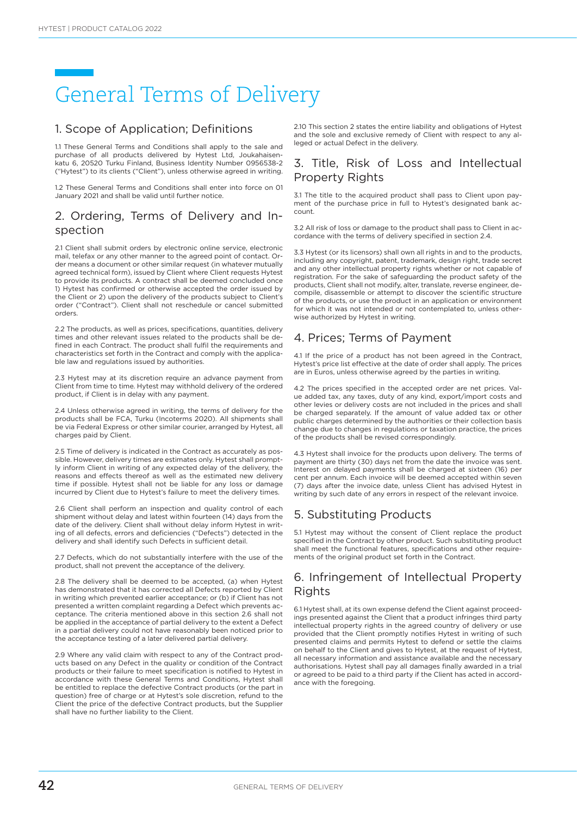## General Terms of Delivery

### 1. Scope of Application; Definitions

1.1 These General Terms and Conditions shall apply to the sale and purchase of all products delivered by Hytest Ltd, Joukahaisenkatu 6, 20520 Turku Finland, Business Identity Number 0956538-2 ("Hytest") to its clients ("Client"), unless otherwise agreed in writing.

1.2 These General Terms and Conditions shall enter into force on 01 January 2021 and shall be valid until further notice.

### 2. Ordering, Terms of Delivery and Inspection

2.1 Client shall submit orders by electronic online service, electronic mail, telefax or any other manner to the agreed point of contact. Order means a document or other similar request (in whatever mutually agreed technical form), issued by Client where Client requests Hytest to provide its products. A contract shall be deemed concluded once 1) Hytest has confirmed or otherwise accepted the order issued by the Client or 2) upon the delivery of the products subject to Client's order ("Contract"). Client shall not reschedule or cancel submitted orders.

2.2 The products, as well as prices, specifications, quantities, delivery times and other relevant issues related to the products shall be defined in each Contract. The product shall fulfil the requirements and characteristics set forth in the Contract and comply with the applicable law and regulations issued by authorities.

2.3 Hytest may at its discretion require an advance payment from Client from time to time. Hytest may withhold delivery of the ordered product, if Client is in delay with any payment.

2.4 Unless otherwise agreed in writing, the terms of delivery for the products shall be FCA, Turku (Incoterms 2020). All shipments shall be via Federal Express or other similar courier, arranged by Hytest, all charges paid by Client.

2.5 Time of delivery is indicated in the Contract as accurately as possible. However, delivery times are estimates only. Hytest shall promptly inform Client in writing of any expected delay of the delivery, the reasons and effects thereof as well as the estimated new delivery time if possible. Hytest shall not be liable for any loss or damage incurred by Client due to Hytest's failure to meet the delivery times.

2.6 Client shall perform an inspection and quality control of each shipment without delay and latest within fourteen (14) days from the date of the delivery. Client shall without delay inform Hytest in writing of all defects, errors and deficiencies ("Defects") detected in the delivery and shall identify such Defects in sufficient detail.

2.7 Defects, which do not substantially interfere with the use of the product, shall not prevent the acceptance of the delivery.

2.8 The delivery shall be deemed to be accepted, (a) when Hytest has demonstrated that it has corrected all Defects reported by Client in writing which prevented earlier acceptance; or (b) if Client has not presented a written complaint regarding a Defect which prevents acceptance. The criteria mentioned above in this section 2.6 shall not be applied in the acceptance of partial delivery to the extent a Defect in a partial delivery could not have reasonably been noticed prior to the acceptance testing of a later delivered partial delivery.

2.9 Where any valid claim with respect to any of the Contract products based on any Defect in the quality or condition of the Contract products or their failure to meet specification is notified to Hytest in accordance with these General Terms and Conditions, Hytest shall be entitled to replace the defective Contract products (or the part in question) free of charge or at Hytest's sole discretion, refund to the Client the price of the defective Contract products, but the Supplier shall have no further liability to the Client.

2.10 This section 2 states the entire liability and obligations of Hytest and the sole and exclusive remedy of Client with respect to any alleged or actual Defect in the delivery.

### 3. Title, Risk of Loss and Intellectual Property Rights

3.1 The title to the acquired product shall pass to Client upon payment of the purchase price in full to Hytest's designated bank account.

3.2 All risk of loss or damage to the product shall pass to Client in accordance with the terms of delivery specified in section 2.4.

3.3 Hytest (or its licensors) shall own all rights in and to the products, including any copyright, patent, trademark, design right, trade secret and any other intellectual property rights whether or not capable of registration. For the sake of safeguarding the product safety of the products, Client shall not modify, alter, translate, reverse engineer, decompile, disassemble or attempt to discover the scientific structure of the products, or use the product in an application or environment for which it was not intended or not contemplated to, unless otherwise authorized by Hytest in writing.

### 4. Prices; Terms of Payment

4.1 If the price of a product has not been agreed in the Contract, Hytest's price list effective at the date of order shall apply. The prices are in Euros, unless otherwise agreed by the parties in writing.

4.2 The prices specified in the accepted order are net prices. Value added tax, any taxes, duty of any kind, export/import costs and other levies or delivery costs are not included in the prices and shall be charged separately. If the amount of value added tax or other public charges determined by the authorities or their collection basis change due to changes in regulations or taxation practice, the prices of the products shall be revised correspondingly.

4.3 Hytest shall invoice for the products upon delivery. The terms of payment are thirty (30) days net from the date the invoice was sent. Interest on delayed payments shall be charged at sixteen (16) per cent per annum. Each invoice will be deemed accepted within seven (7) days after the invoice date, unless Client has advised Hytest in writing by such date of any errors in respect of the relevant invoice.

### 5. Substituting Products

5.1 Hytest may without the consent of Client replace the product specified in the Contract by other product. Such substituting product shall meet the functional features, specifications and other requirements of the original product set forth in the Contract.

### 6. Infringement of Intellectual Property **Rights**

6.1 Hytest shall, at its own expense defend the Client against proceedings presented against the Client that a product infringes third party intellectual property rights in the agreed country of delivery or use provided that the Client promptly notifies Hytest in writing of such presented claims and permits Hytest to defend or settle the claims on behalf to the Client and gives to Hytest, at the request of Hytest, all necessary information and assistance available and the necessary authorisations. Hytest shall pay all damages finally awarded in a trial or agreed to be paid to a third party if the Client has acted in accordance with the foregoing.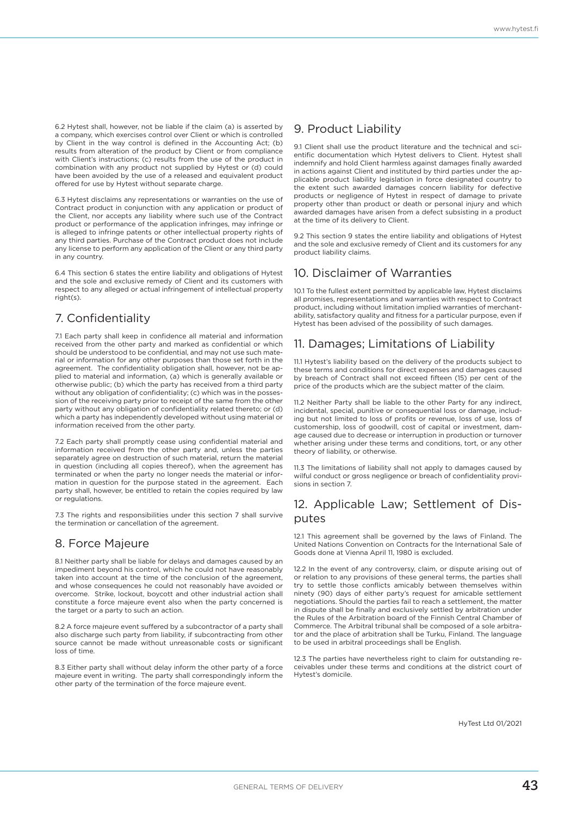6.2 Hytest shall, however, not be liable if the claim (a) is asserted by a company, which exercises control over Client or which is controlled by Client in the way control is defined in the Accounting Act; (b) results from alteration of the product by Client or from compliance with Client's instructions; (c) results from the use of the product in combination with any product not supplied by Hytest or (d) could have been avoided by the use of a released and equivalent product offered for use by Hytest without separate charge.

6.3 Hytest disclaims any representations or warranties on the use of Contract product in conjunction with any application or product of the Client, nor accepts any liability where such use of the Contract product or performance of the application infringes, may infringe or is alleged to infringe patents or other intellectual property rights of any third parties. Purchase of the Contract product does not include any license to perform any application of the Client or any third party in any country.

6.4 This section 6 states the entire liability and obligations of Hytest and the sole and exclusive remedy of Client and its customers with respect to any alleged or actual infringement of intellectual property  $right(s)$ 

### 7. Confidentiality

7.1 Each party shall keep in confidence all material and information received from the other party and marked as confidential or which should be understood to be confidential, and may not use such material or information for any other purposes than those set forth in the agreement. The confidentiality obligation shall, however, not be applied to material and information, (a) which is generally available or otherwise public; (b) which the party has received from a third party without any obligation of confidentiality; (c) which was in the possession of the receiving party prior to receipt of the same from the other party without any obligation of confidentiality related thereto; or (d) which a party has independently developed without using material or information received from the other party.

7.2 Each party shall promptly cease using confidential material and information received from the other party and, unless the parties separately agree on destruction of such material, return the material in question (including all copies thereof), when the agreement has terminated or when the party no longer needs the material or information in question for the purpose stated in the agreement. Each party shall, however, be entitled to retain the copies required by law or regulations.

7.3 The rights and responsibilities under this section 7 shall survive the termination or cancellation of the agreement.

### 8. Force Majeure

8.1 Neither party shall be liable for delays and damages caused by an impediment beyond his control, which he could not have reasonably taken into account at the time of the conclusion of the agreement, and whose consequences he could not reasonably have avoided or overcome. Strike, lockout, boycott and other industrial action shall constitute a force majeure event also when the party concerned is the target or a party to such an action.

8.2 A force majeure event suffered by a subcontractor of a party shall also discharge such party from liability, if subcontracting from other source cannot be made without unreasonable costs or significant loss of time.

8.3 Either party shall without delay inform the other party of a force majeure event in writing. The party shall correspondingly inform the other party of the termination of the force majeure event.

### 9. Product Liability

9.1 Client shall use the product literature and the technical and scientific documentation which Hytest delivers to Client. Hytest shall indemnify and hold Client harmless against damages finally awarded in actions against Client and instituted by third parties under the applicable product liability legislation in force designated country to the extent such awarded damages concern liability for defective products or negligence of Hytest in respect of damage to private property other than product or death or personal injury and which awarded damages have arisen from a defect subsisting in a product at the time of its delivery to Client.

9.2 This section 9 states the entire liability and obligations of Hytest and the sole and exclusive remedy of Client and its customers for any product liability claims.

### 10. Disclaimer of Warranties

10.1 To the fullest extent permitted by applicable law, Hytest disclaims all promises, representations and warranties with respect to Contract product, including without limitation implied warranties of merchantability, satisfactory quality and fitness for a particular purpose, even if Hytest has been advised of the possibility of such damages.

### 11. Damages; Limitations of Liability

11.1 Hytest's liability based on the delivery of the products subject to these terms and conditions for direct expenses and damages caused by breach of Contract shall not exceed fifteen (15) per cent of the price of the products which are the subject matter of the claim.

11.2 Neither Party shall be liable to the other Party for any indirect, incidental, special, punitive or consequential loss or damage, including but not limited to loss of profits or revenue, loss of use, loss of customership, loss of goodwill, cost of capital or investment, damage caused due to decrease or interruption in production or turnover whether arising under these terms and conditions, tort, or any other theory of liability, or otherwise.

11.3 The limitations of liability shall not apply to damages caused by wilful conduct or gross negligence or breach of confidentiality provisions in section 7.

### 12. Applicable Law; Settlement of Disputes

12.1 This agreement shall be governed by the laws of Finland. The United Nations Convention on Contracts for the International Sale of Goods done at Vienna April 11, 1980 is excluded.

12.2 In the event of any controversy, claim, or dispute arising out of or relation to any provisions of these general terms, the parties shall try to settle those conflicts amicably between themselves within ninety (90) days of either party's request for amicable settlement negotiations. Should the parties fail to reach a settlement, the matter in dispute shall be finally and exclusively settled by arbitration under the Rules of the Arbitration board of the Finnish Central Chamber of Commerce. The Arbitral tribunal shall be composed of a sole arbitrator and the place of arbitration shall be Turku, Finland. The language to be used in arbitral proceedings shall be English.

12.3 The parties have nevertheless right to claim for outstanding receivables under these terms and conditions at the district court of Hytest's domicile.

HyTest Ltd 01/2021